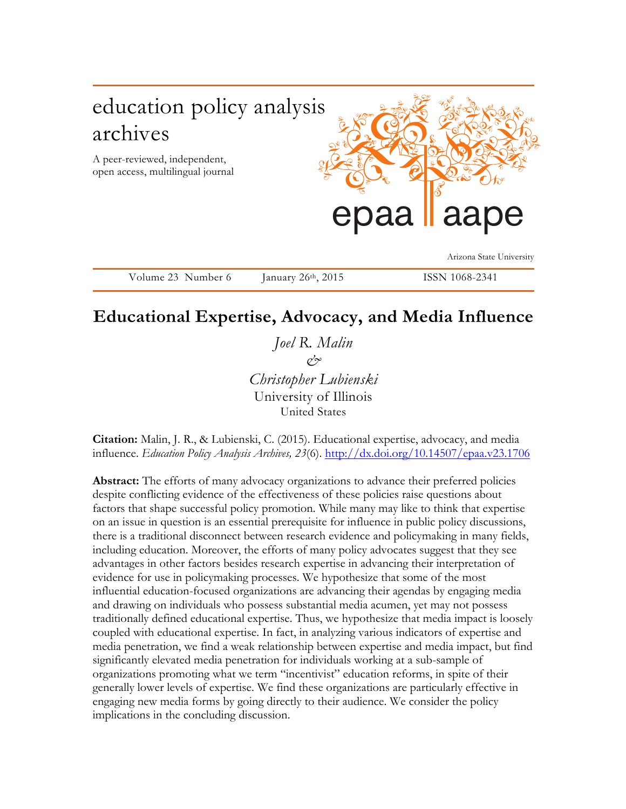

Volume 23 Number 6 January 26<sup>th</sup>, 2015 ISSN 1068-2341

# **Educational Expertise, Advocacy, and Media Influence**

*Joel R. Malin & Christopher Lubienski* University of Illinois United States

**Citation:** Malin, J. R., & Lubienski, C. (2015). Educational expertise, advocacy, and media influence. *Education Policy Analysis Archives, 23*(6). http://dx.doi.org/10.14507/epaa.v23.1706

**Abstract:** The efforts of many advocacy organizations to advance their preferred policies despite conflicting evidence of the effectiveness of these policies raise questions about factors that shape successful policy promotion. While many may like to think that expertise on an issue in question is an essential prerequisite for influence in public policy discussions, there is a traditional disconnect between research evidence and policymaking in many fields, including education. Moreover, the efforts of many policy advocates suggest that they see advantages in other factors besides research expertise in advancing their interpretation of evidence for use in policymaking processes. We hypothesize that some of the most influential education-focused organizations are advancing their agendas by engaging media and drawing on individuals who possess substantial media acumen, yet may not possess traditionally defined educational expertise. Thus, we hypothesize that media impact is loosely coupled with educational expertise. In fact, in analyzing various indicators of expertise and media penetration, we find a weak relationship between expertise and media impact, but find significantly elevated media penetration for individuals working at a sub-sample of organizations promoting what we term "incentivist" education reforms, in spite of their generally lower levels of expertise. We find these organizations are particularly effective in engaging new media forms by going directly to their audience. We consider the policy implications in the concluding discussion.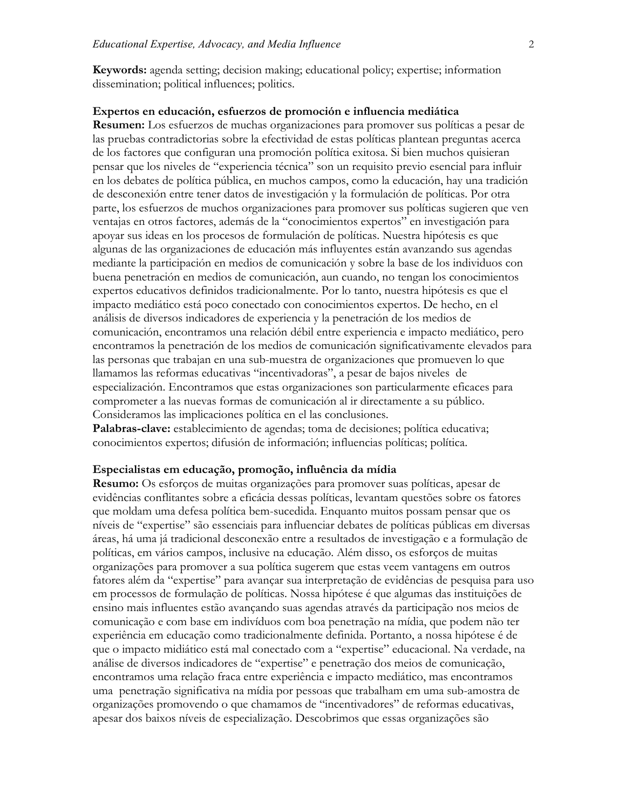**Keywords:** agenda setting; decision making; educational policy; expertise; information dissemination; political influences; politics.

#### **Expertos en educación, esfuerzos de promoción e influencia mediática**

**Resumen:** Los esfuerzos de muchas organizaciones para promover sus políticas a pesar de las pruebas contradictorias sobre la efectividad de estas políticas plantean preguntas acerca de los factores que configuran una promoción política exitosa. Si bien muchos quisieran pensar que los niveles de "experiencia técnica" son un requisito previo esencial para influir en los debates de política pública, en muchos campos, como la educación, hay una tradición de desconexión entre tener datos de investigación y la formulación de políticas. Por otra parte, los esfuerzos de muchos organizaciones para promover sus políticas sugieren que ven ventajas en otros factores, además de la "conocimientos expertos" en investigación para apoyar sus ideas en los procesos de formulación de políticas. Nuestra hipótesis es que algunas de las organizaciones de educación más influyentes están avanzando sus agendas mediante la participación en medios de comunicación y sobre la base de los individuos con buena penetración en medios de comunicación, aun cuando, no tengan los conocimientos expertos educativos definidos tradicionalmente. Por lo tanto, nuestra hipótesis es que el impacto mediático está poco conectado con conocimientos expertos. De hecho, en el análisis de diversos indicadores de experiencia y la penetración de los medios de comunicación, encontramos una relación débil entre experiencia e impacto mediático, pero encontramos la penetración de los medios de comunicación significativamente elevados para las personas que trabajan en una sub-muestra de organizaciones que promueven lo que llamamos las reformas educativas "incentivadoras", a pesar de bajos niveles de especialización. Encontramos que estas organizaciones son particularmente eficaces para comprometer a las nuevas formas de comunicación al ir directamente a su público. Consideramos las implicaciones política en el las conclusiones.

**Palabras-clave:** establecimiento de agendas; toma de decisiones; política educativa; conocimientos expertos; difusión de información; influencias políticas; política.

#### **Especialistas em educação, promoção, influência da mídia**

**Resumo:** Os esforços de muitas organizações para promover suas políticas, apesar de evidências conflitantes sobre a eficácia dessas políticas, levantam questões sobre os fatores que moldam uma defesa política bem-sucedida. Enquanto muitos possam pensar que os níveis de "expertise" são essenciais para influenciar debates de políticas públicas em diversas áreas, há uma já tradicional desconexão entre a resultados de investigação e a formulação de políticas, em vários campos, inclusive na educação. Além disso, os esforços de muitas organizações para promover a sua política sugerem que estas veem vantagens em outros fatores além da "expertise" para avançar sua interpretação de evidências de pesquisa para uso em processos de formulação de políticas. Nossa hipótese é que algumas das instituições de ensino mais influentes estão avançando suas agendas através da participação nos meios de comunicação e com base em indivíduos com boa penetração na mídia, que podem não ter experiência em educação como tradicionalmente definida. Portanto, a nossa hipótese é de que o impacto midiático está mal conectado com a "expertise" educacional. Na verdade, na análise de diversos indicadores de "expertise" e penetração dos meios de comunicação, encontramos uma relação fraca entre experiência e impacto mediático, mas encontramos uma penetração significativa na mídia por pessoas que trabalham em uma sub-amostra de organizações promovendo o que chamamos de "incentivadores" de reformas educativas, apesar dos baixos níveis de especialização. Descobrimos que essas organizações são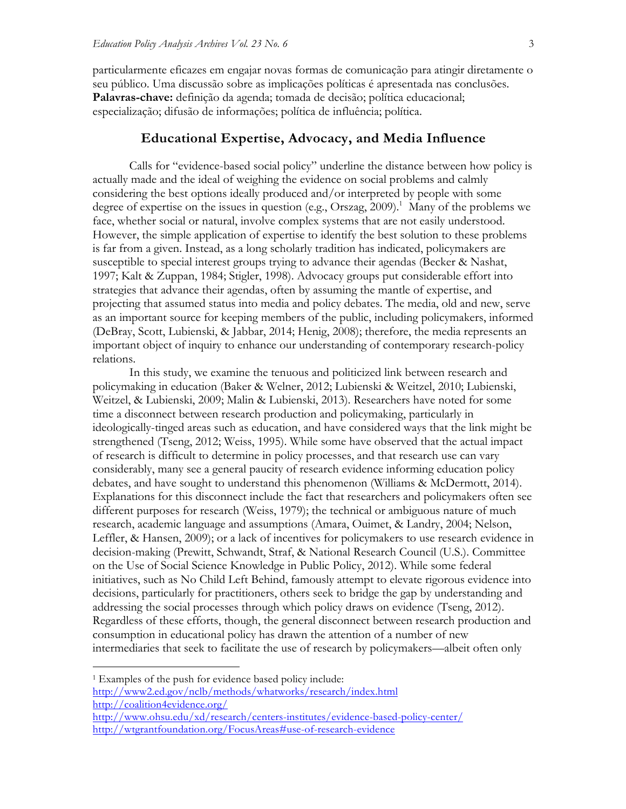particularmente eficazes em engajar novas formas de comunicação para atingir diretamente o seu público. Uma discussão sobre as implicações políticas é apresentada nas conclusões. **Palavras-chave:** definição da agenda; tomada de decisão; política educacional; especialização; difusão de informações; política de influência; política.

#### **Educational Expertise, Advocacy, and Media Influence**

Calls for "evidence-based social policy" underline the distance between how policy is actually made and the ideal of weighing the evidence on social problems and calmly considering the best options ideally produced and/or interpreted by people with some degree of expertise on the issues in question (e.g., Orszag, 2009).<sup>1</sup> Many of the problems we face, whether social or natural, involve complex systems that are not easily understood. However, the simple application of expertise to identify the best solution to these problems is far from a given. Instead, as a long scholarly tradition has indicated, policymakers are susceptible to special interest groups trying to advance their agendas (Becker & Nashat, 1997; Kalt & Zuppan, 1984; Stigler, 1998). Advocacy groups put considerable effort into strategies that advance their agendas, often by assuming the mantle of expertise, and projecting that assumed status into media and policy debates. The media, old and new, serve as an important source for keeping members of the public, including policymakers, informed (DeBray, Scott, Lubienski, & Jabbar, 2014; Henig, 2008); therefore, the media represents an important object of inquiry to enhance our understanding of contemporary research-policy relations.

In this study, we examine the tenuous and politicized link between research and policymaking in education (Baker & Welner, 2012; Lubienski & Weitzel, 2010; Lubienski, Weitzel, & Lubienski, 2009; Malin & Lubienski, 2013). Researchers have noted for some time a disconnect between research production and policymaking, particularly in ideologically-tinged areas such as education, and have considered ways that the link might be strengthened (Tseng, 2012; Weiss, 1995). While some have observed that the actual impact of research is difficult to determine in policy processes, and that research use can vary considerably, many see a general paucity of research evidence informing education policy debates, and have sought to understand this phenomenon (Williams & McDermott, 2014). Explanations for this disconnect include the fact that researchers and policymakers often see different purposes for research (Weiss, 1979); the technical or ambiguous nature of much research, academic language and assumptions (Amara, Ouimet, & Landry, 2004; Nelson, Leffler, & Hansen, 2009); or a lack of incentives for policymakers to use research evidence in decision-making (Prewitt, Schwandt, Straf, & National Research Council (U.S.). Committee on the Use of Social Science Knowledge in Public Policy, 2012). While some federal initiatives, such as No Child Left Behind, famously attempt to elevate rigorous evidence into decisions, particularly for practitioners, others seek to bridge the gap by understanding and addressing the social processes through which policy draws on evidence (Tseng, 2012). Regardless of these efforts, though, the general disconnect between research production and consumption in educational policy has drawn the attention of a number of new intermediaries that seek to facilitate the use of research by policymakers—albeit often only

 1 Examples of the push for evidence based policy include: http://www2.ed.gov/nclb/methods/whatworks/research/index.html http://coalition4evidence.org/ http://www.ohsu.edu/xd/research/centers-institutes/evidence-based-policy-center/

http://wtgrantfoundation.org/FocusAreas#use-of-research-evidence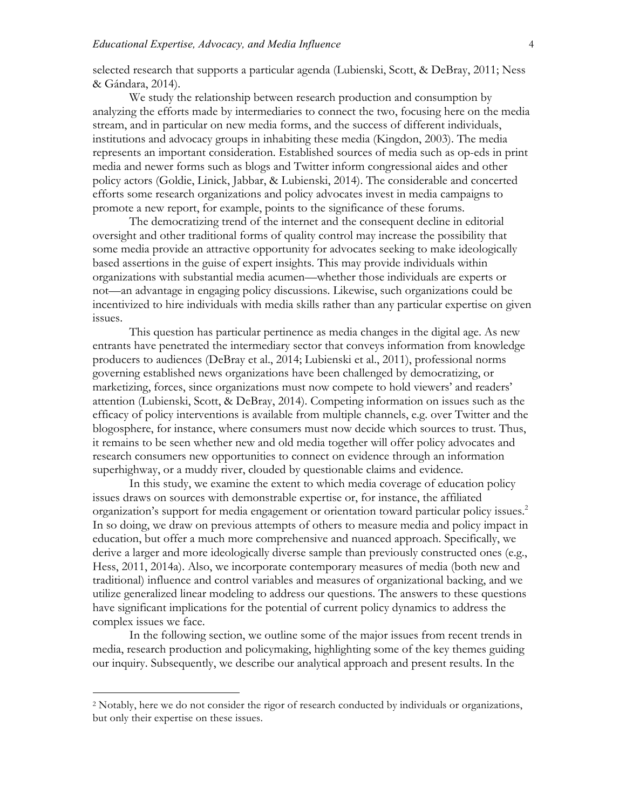selected research that supports a particular agenda (Lubienski, Scott, & DeBray, 2011; Ness & Gándara, 2014).

We study the relationship between research production and consumption by analyzing the efforts made by intermediaries to connect the two, focusing here on the media stream, and in particular on new media forms, and the success of different individuals, institutions and advocacy groups in inhabiting these media (Kingdon, 2003). The media represents an important consideration. Established sources of media such as op-eds in print media and newer forms such as blogs and Twitter inform congressional aides and other policy actors (Goldie, Linick, Jabbar, & Lubienski, 2014). The considerable and concerted efforts some research organizations and policy advocates invest in media campaigns to promote a new report, for example, points to the significance of these forums.

The democratizing trend of the internet and the consequent decline in editorial oversight and other traditional forms of quality control may increase the possibility that some media provide an attractive opportunity for advocates seeking to make ideologically based assertions in the guise of expert insights. This may provide individuals within organizations with substantial media acumen—whether those individuals are experts or not—an advantage in engaging policy discussions. Likewise, such organizations could be incentivized to hire individuals with media skills rather than any particular expertise on given issues.

This question has particular pertinence as media changes in the digital age. As new entrants have penetrated the intermediary sector that conveys information from knowledge producers to audiences (DeBray et al., 2014; Lubienski et al., 2011), professional norms governing established news organizations have been challenged by democratizing, or marketizing, forces, since organizations must now compete to hold viewers' and readers' attention (Lubienski, Scott, & DeBray, 2014). Competing information on issues such as the efficacy of policy interventions is available from multiple channels, e.g. over Twitter and the blogosphere, for instance, where consumers must now decide which sources to trust. Thus, it remains to be seen whether new and old media together will offer policy advocates and research consumers new opportunities to connect on evidence through an information superhighway, or a muddy river, clouded by questionable claims and evidence.

In this study, we examine the extent to which media coverage of education policy issues draws on sources with demonstrable expertise or, for instance, the affiliated organization's support for media engagement or orientation toward particular policy issues.<sup>2</sup> In so doing, we draw on previous attempts of others to measure media and policy impact in education, but offer a much more comprehensive and nuanced approach. Specifically, we derive a larger and more ideologically diverse sample than previously constructed ones (e.g., Hess, 2011, 2014a). Also, we incorporate contemporary measures of media (both new and traditional) influence and control variables and measures of organizational backing, and we utilize generalized linear modeling to address our questions. The answers to these questions have significant implications for the potential of current policy dynamics to address the complex issues we face.

In the following section, we outline some of the major issues from recent trends in media, research production and policymaking, highlighting some of the key themes guiding our inquiry. Subsequently, we describe our analytical approach and present results. In the

 <sup>2</sup> Notably, here we do not consider the rigor of research conducted by individuals or organizations, but only their expertise on these issues.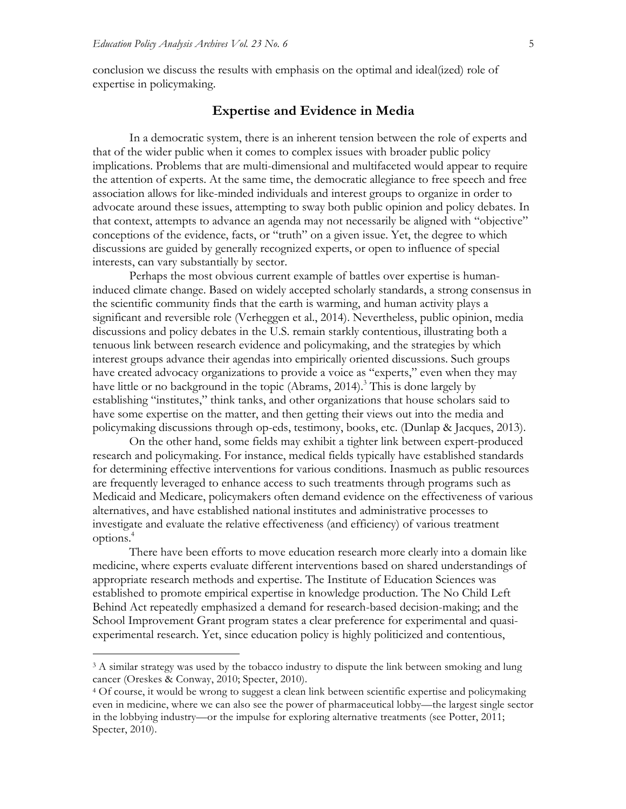conclusion we discuss the results with emphasis on the optimal and ideal(ized) role of expertise in policymaking.

#### **Expertise and Evidence in Media**

In a democratic system, there is an inherent tension between the role of experts and that of the wider public when it comes to complex issues with broader public policy implications. Problems that are multi-dimensional and multifaceted would appear to require the attention of experts. At the same time, the democratic allegiance to free speech and free association allows for like-minded individuals and interest groups to organize in order to advocate around these issues, attempting to sway both public opinion and policy debates. In that context, attempts to advance an agenda may not necessarily be aligned with "objective" conceptions of the evidence, facts, or "truth" on a given issue. Yet, the degree to which discussions are guided by generally recognized experts, or open to influence of special interests, can vary substantially by sector.

Perhaps the most obvious current example of battles over expertise is humaninduced climate change. Based on widely accepted scholarly standards, a strong consensus in the scientific community finds that the earth is warming, and human activity plays a significant and reversible role (Verheggen et al., 2014). Nevertheless, public opinion, media discussions and policy debates in the U.S. remain starkly contentious, illustrating both a tenuous link between research evidence and policymaking, and the strategies by which interest groups advance their agendas into empirically oriented discussions. Such groups have created advocacy organizations to provide a voice as "experts," even when they may have little or no background in the topic (Abrams, 2014).<sup>3</sup> This is done largely by establishing "institutes," think tanks, and other organizations that house scholars said to have some expertise on the matter, and then getting their views out into the media and policymaking discussions through op-eds, testimony, books, etc. (Dunlap & Jacques, 2013).

On the other hand, some fields may exhibit a tighter link between expert-produced research and policymaking. For instance, medical fields typically have established standards for determining effective interventions for various conditions. Inasmuch as public resources are frequently leveraged to enhance access to such treatments through programs such as Medicaid and Medicare, policymakers often demand evidence on the effectiveness of various alternatives, and have established national institutes and administrative processes to investigate and evaluate the relative effectiveness (and efficiency) of various treatment options. 4

There have been efforts to move education research more clearly into a domain like medicine, where experts evaluate different interventions based on shared understandings of appropriate research methods and expertise. The Institute of Education Sciences was established to promote empirical expertise in knowledge production. The No Child Left Behind Act repeatedly emphasized a demand for research-based decision-making; and the School Improvement Grant program states a clear preference for experimental and quasiexperimental research. Yet, since education policy is highly politicized and contentious,

<sup>&</sup>lt;sup>3</sup> A similar strategy was used by the tobacco industry to dispute the link between smoking and lung cancer (Oreskes & Conway, 2010; Specter, 2010).

<sup>4</sup> Of course, it would be wrong to suggest a clean link between scientific expertise and policymaking even in medicine, where we can also see the power of pharmaceutical lobby—the largest single sector in the lobbying industry—or the impulse for exploring alternative treatments (see Potter, 2011; Specter, 2010).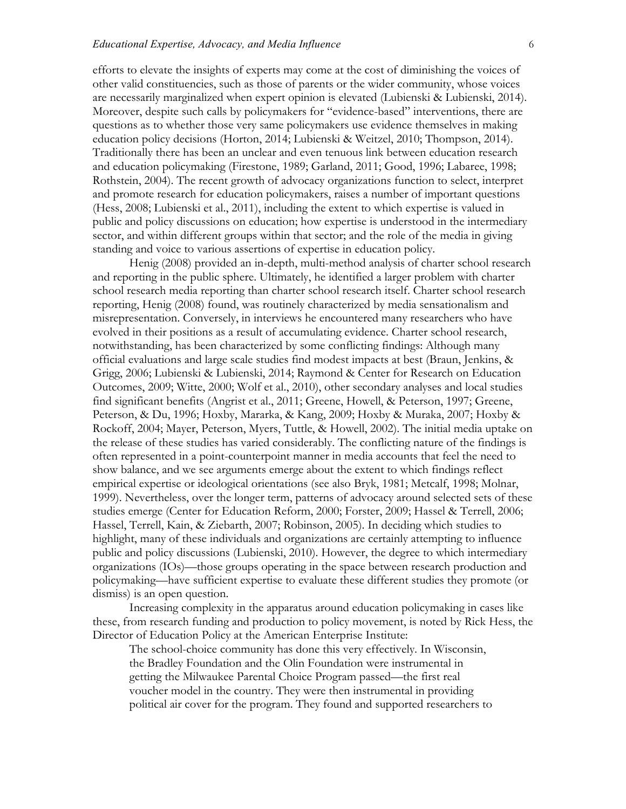efforts to elevate the insights of experts may come at the cost of diminishing the voices of other valid constituencies, such as those of parents or the wider community, whose voices are necessarily marginalized when expert opinion is elevated (Lubienski & Lubienski, 2014). Moreover, despite such calls by policymakers for "evidence-based" interventions, there are questions as to whether those very same policymakers use evidence themselves in making education policy decisions (Horton, 2014; Lubienski & Weitzel, 2010; Thompson, 2014). Traditionally there has been an unclear and even tenuous link between education research and education policymaking (Firestone, 1989; Garland, 2011; Good, 1996; Labaree, 1998; Rothstein, 2004). The recent growth of advocacy organizations function to select, interpret and promote research for education policymakers, raises a number of important questions (Hess, 2008; Lubienski et al., 2011), including the extent to which expertise is valued in public and policy discussions on education; how expertise is understood in the intermediary sector, and within different groups within that sector; and the role of the media in giving standing and voice to various assertions of expertise in education policy.

Henig (2008) provided an in-depth, multi-method analysis of charter school research and reporting in the public sphere. Ultimately, he identified a larger problem with charter school research media reporting than charter school research itself. Charter school research reporting, Henig (2008) found, was routinely characterized by media sensationalism and misrepresentation. Conversely, in interviews he encountered many researchers who have evolved in their positions as a result of accumulating evidence. Charter school research, notwithstanding, has been characterized by some conflicting findings: Although many official evaluations and large scale studies find modest impacts at best (Braun, Jenkins, & Grigg, 2006; Lubienski & Lubienski, 2014; Raymond & Center for Research on Education Outcomes, 2009; Witte, 2000; Wolf et al., 2010), other secondary analyses and local studies find significant benefits (Angrist et al., 2011; Greene, Howell, & Peterson, 1997; Greene, Peterson, & Du, 1996; Hoxby, Mararka, & Kang, 2009; Hoxby & Muraka, 2007; Hoxby & Rockoff, 2004; Mayer, Peterson, Myers, Tuttle, & Howell, 2002). The initial media uptake on the release of these studies has varied considerably. The conflicting nature of the findings is often represented in a point-counterpoint manner in media accounts that feel the need to show balance, and we see arguments emerge about the extent to which findings reflect empirical expertise or ideological orientations (see also Bryk, 1981; Metcalf, 1998; Molnar, 1999). Nevertheless, over the longer term, patterns of advocacy around selected sets of these studies emerge (Center for Education Reform, 2000; Forster, 2009; Hassel & Terrell, 2006; Hassel, Terrell, Kain, & Ziebarth, 2007; Robinson, 2005). In deciding which studies to highlight, many of these individuals and organizations are certainly attempting to influence public and policy discussions (Lubienski, 2010). However, the degree to which intermediary organizations (IOs)—those groups operating in the space between research production and policymaking—have sufficient expertise to evaluate these different studies they promote (or dismiss) is an open question.

Increasing complexity in the apparatus around education policymaking in cases like these, from research funding and production to policy movement, is noted by Rick Hess, the Director of Education Policy at the American Enterprise Institute:

The school-choice community has done this very effectively. In Wisconsin, the Bradley Foundation and the Olin Foundation were instrumental in getting the Milwaukee Parental Choice Program passed—the first real voucher model in the country. They were then instrumental in providing political air cover for the program. They found and supported researchers to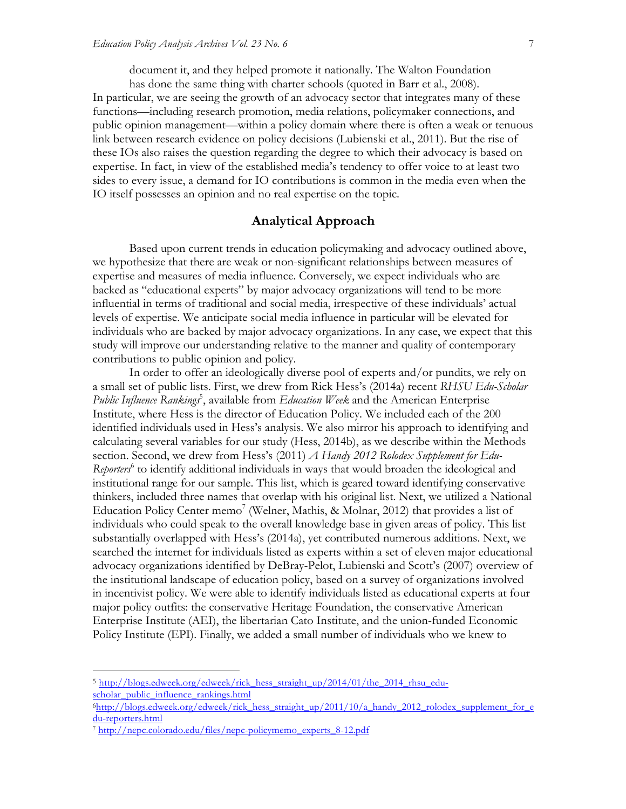document it, and they helped promote it nationally. The Walton Foundation

has done the same thing with charter schools (quoted in Barr et al., 2008). In particular, we are seeing the growth of an advocacy sector that integrates many of these functions—including research promotion, media relations, policymaker connections, and public opinion management—within a policy domain where there is often a weak or tenuous link between research evidence on policy decisions (Lubienski et al., 2011). But the rise of these IOs also raises the question regarding the degree to which their advocacy is based on expertise. In fact, in view of the established media's tendency to offer voice to at least two sides to every issue, a demand for IO contributions is common in the media even when the IO itself possesses an opinion and no real expertise on the topic.

#### **Analytical Approach**

Based upon current trends in education policymaking and advocacy outlined above, we hypothesize that there are weak or non-significant relationships between measures of expertise and measures of media influence. Conversely, we expect individuals who are backed as "educational experts" by major advocacy organizations will tend to be more influential in terms of traditional and social media, irrespective of these individuals' actual levels of expertise. We anticipate social media influence in particular will be elevated for individuals who are backed by major advocacy organizations. In any case, we expect that this study will improve our understanding relative to the manner and quality of contemporary contributions to public opinion and policy.

In order to offer an ideologically diverse pool of experts and/or pundits, we rely on a small set of public lists. First, we drew from Rick Hess's (2014a) recent *RHSU Edu-Scholar*  Public Influence Rankings<sup>5</sup>, available from *Education Week* and the American Enterprise Institute, where Hess is the director of Education Policy. We included each of the 200 identified individuals used in Hess's analysis. We also mirror his approach to identifying and calculating several variables for our study (Hess, 2014b), as we describe within the Methods section. Second, we drew from Hess's (2011) *A Handy 2012 Rolodex Supplement for Edu-Reporters*<sup>6</sup> to identify additional individuals in ways that would broaden the ideological and institutional range for our sample. This list, which is geared toward identifying conservative thinkers, included three names that overlap with his original list. Next, we utilized a National Education Policy Center memo<sup>7</sup> (Welner, Mathis, & Molnar, 2012) that provides a list of individuals who could speak to the overall knowledge base in given areas of policy. This list substantially overlapped with Hess's (2014a), yet contributed numerous additions. Next, we searched the internet for individuals listed as experts within a set of eleven major educational advocacy organizations identified by DeBray-Pelot, Lubienski and Scott's (2007) overview of the institutional landscape of education policy, based on a survey of organizations involved in incentivist policy. We were able to identify individuals listed as educational experts at four major policy outfits: the conservative Heritage Foundation, the conservative American Enterprise Institute (AEI), the libertarian Cato Institute, and the union-funded Economic Policy Institute (EPI). Finally, we added a small number of individuals who we knew to

<sup>&</sup>lt;sup>5</sup> http://blogs.edweek.org/edweek/rick\_hess\_straight\_up/2014/01/the\_2014\_rhsu\_eduscholar\_public\_influence\_rankings.html

<sup>6</sup>http://blogs.edweek.org/edweek/rick\_hess\_straight\_up/2011/10/a\_handy\_2012\_rolodex\_supplement\_for\_e du-reporters.html

<sup>7</sup> http://nepc.colorado.edu/files/nepc-policymemo\_experts\_8-12.pdf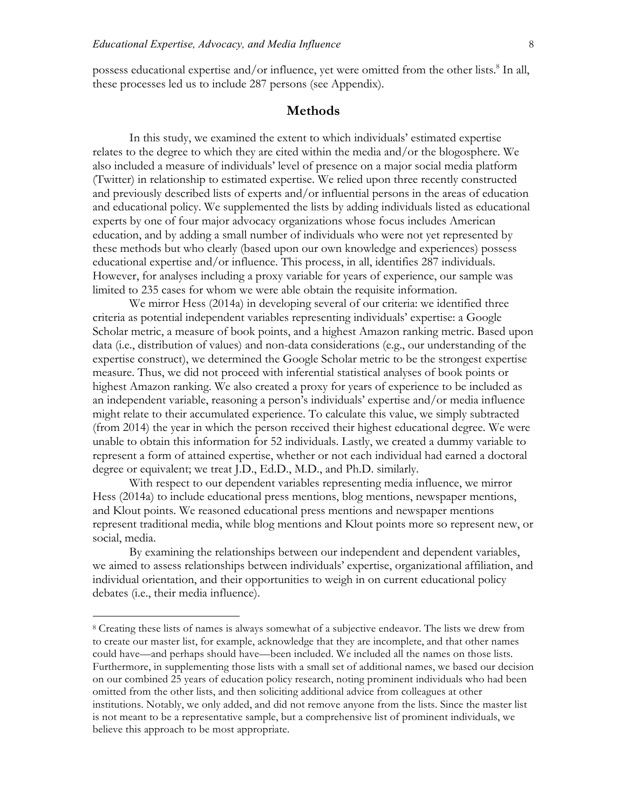possess educational expertise and/or influence, yet were omitted from the other lists.<sup>8</sup> In all, these processes led us to include 287 persons (see Appendix).

#### **Methods**

In this study, we examined the extent to which individuals' estimated expertise relates to the degree to which they are cited within the media and/or the blogosphere. We also included a measure of individuals' level of presence on a major social media platform (Twitter) in relationship to estimated expertise. We relied upon three recently constructed and previously described lists of experts and/or influential persons in the areas of education and educational policy. We supplemented the lists by adding individuals listed as educational experts by one of four major advocacy organizations whose focus includes American education, and by adding a small number of individuals who were not yet represented by these methods but who clearly (based upon our own knowledge and experiences) possess educational expertise and/or influence. This process, in all, identifies 287 individuals. However, for analyses including a proxy variable for years of experience, our sample was limited to 235 cases for whom we were able obtain the requisite information.

We mirror Hess (2014a) in developing several of our criteria: we identified three criteria as potential independent variables representing individuals' expertise: a Google Scholar metric, a measure of book points, and a highest Amazon ranking metric. Based upon data (i.e., distribution of values) and non-data considerations (e.g., our understanding of the expertise construct), we determined the Google Scholar metric to be the strongest expertise measure. Thus, we did not proceed with inferential statistical analyses of book points or highest Amazon ranking. We also created a proxy for years of experience to be included as an independent variable, reasoning a person's individuals' expertise and/or media influence might relate to their accumulated experience. To calculate this value, we simply subtracted (from 2014) the year in which the person received their highest educational degree. We were unable to obtain this information for 52 individuals. Lastly, we created a dummy variable to represent a form of attained expertise, whether or not each individual had earned a doctoral degree or equivalent; we treat J.D., Ed.D., M.D., and Ph.D. similarly.

With respect to our dependent variables representing media influence, we mirror Hess (2014a) to include educational press mentions, blog mentions, newspaper mentions, and Klout points. We reasoned educational press mentions and newspaper mentions represent traditional media, while blog mentions and Klout points more so represent new, or social, media.

By examining the relationships between our independent and dependent variables, we aimed to assess relationships between individuals' expertise, organizational affiliation, and individual orientation, and their opportunities to weigh in on current educational policy debates (i.e., their media influence).

 <sup>8</sup> Creating these lists of names is always somewhat of a subjective endeavor. The lists we drew from to create our master list, for example, acknowledge that they are incomplete, and that other names could have—and perhaps should have—been included. We included all the names on those lists. Furthermore, in supplementing those lists with a small set of additional names, we based our decision on our combined 25 years of education policy research, noting prominent individuals who had been omitted from the other lists, and then soliciting additional advice from colleagues at other institutions. Notably, we only added, and did not remove anyone from the lists. Since the master list is not meant to be a representative sample, but a comprehensive list of prominent individuals, we believe this approach to be most appropriate.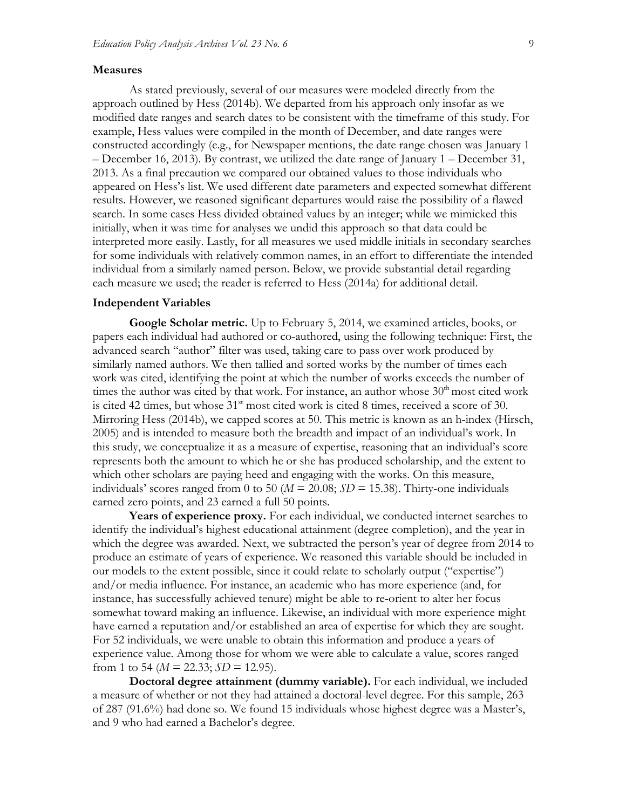#### **Measures**

As stated previously, several of our measures were modeled directly from the approach outlined by Hess (2014b). We departed from his approach only insofar as we modified date ranges and search dates to be consistent with the timeframe of this study. For example, Hess values were compiled in the month of December, and date ranges were constructed accordingly (e.g., for Newspaper mentions, the date range chosen was January 1 – December 16, 2013). By contrast, we utilized the date range of January 1 – December 31, 2013. As a final precaution we compared our obtained values to those individuals who appeared on Hess's list. We used different date parameters and expected somewhat different results. However, we reasoned significant departures would raise the possibility of a flawed search. In some cases Hess divided obtained values by an integer; while we mimicked this initially, when it was time for analyses we undid this approach so that data could be interpreted more easily. Lastly, for all measures we used middle initials in secondary searches for some individuals with relatively common names, in an effort to differentiate the intended individual from a similarly named person. Below, we provide substantial detail regarding each measure we used; the reader is referred to Hess (2014a) for additional detail.

#### **Independent Variables**

**Google Scholar metric.** Up to February 5, 2014, we examined articles, books, or papers each individual had authored or co-authored, using the following technique: First, the advanced search "author" filter was used, taking care to pass over work produced by similarly named authors. We then tallied and sorted works by the number of times each work was cited, identifying the point at which the number of works exceeds the number of times the author was cited by that work. For instance, an author whose  $30<sup>th</sup>$  most cited work is cited 42 times, but whose  $31<sup>st</sup>$  most cited work is cited 8 times, received a score of 30. Mirroring Hess (2014b), we capped scores at 50. This metric is known as an h-index (Hirsch, 2005) and is intended to measure both the breadth and impact of an individual's work. In this study, we conceptualize it as a measure of expertise, reasoning that an individual's score represents both the amount to which he or she has produced scholarship, and the extent to which other scholars are paying heed and engaging with the works. On this measure, individuals' scores ranged from 0 to 50 ( $M = 20.08$ ;  $SD = 15.38$ ). Thirty-one individuals earned zero points, and 23 earned a full 50 points.

**Years of experience proxy.** For each individual, we conducted internet searches to identify the individual's highest educational attainment (degree completion), and the year in which the degree was awarded. Next, we subtracted the person's year of degree from 2014 to produce an estimate of years of experience. We reasoned this variable should be included in our models to the extent possible, since it could relate to scholarly output ("expertise") and/or media influence. For instance, an academic who has more experience (and, for instance, has successfully achieved tenure) might be able to re-orient to alter her focus somewhat toward making an influence. Likewise, an individual with more experience might have earned a reputation and/or established an area of expertise for which they are sought. For 52 individuals, we were unable to obtain this information and produce a years of experience value. Among those for whom we were able to calculate a value, scores ranged from 1 to 54 ( $M = 22.33$ ;  $SD = 12.95$ ).

**Doctoral degree attainment (dummy variable).** For each individual, we included a measure of whether or not they had attained a doctoral-level degree. For this sample, 263 of 287 (91.6%) had done so. We found 15 individuals whose highest degree was a Master's, and 9 who had earned a Bachelor's degree.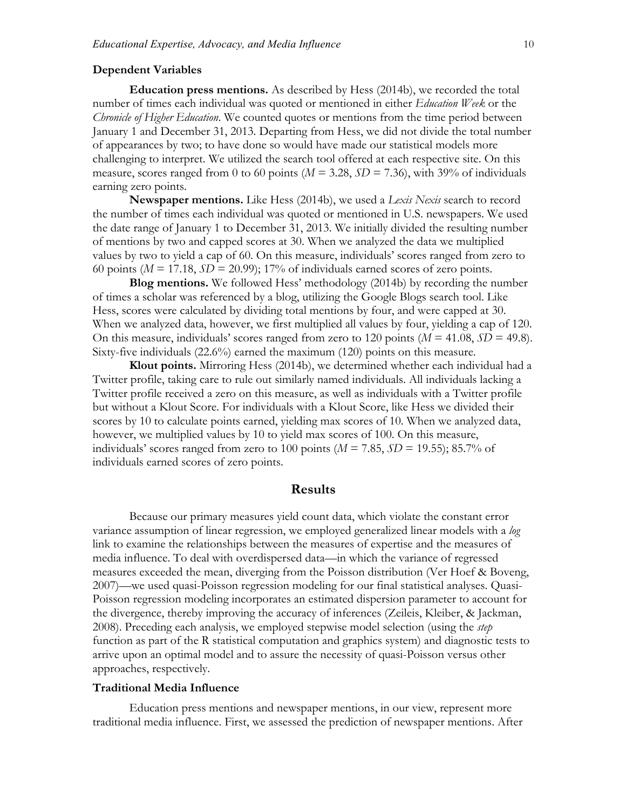#### **Dependent Variables**

**Education press mentions.** As described by Hess (2014b), we recorded the total number of times each individual was quoted or mentioned in either *Education Week* or the *Chronicle of Higher Education*. We counted quotes or mentions from the time period between January 1 and December 31, 2013. Departing from Hess, we did not divide the total number of appearances by two; to have done so would have made our statistical models more challenging to interpret. We utilized the search tool offered at each respective site. On this measure, scores ranged from 0 to 60 points ( $M = 3.28$ ,  $SD = 7.36$ ), with 39% of individuals earning zero points.

**Newspaper mentions.** Like Hess (2014b), we used a *Lexis Nexis* search to record the number of times each individual was quoted or mentioned in U.S. newspapers. We used the date range of January 1 to December 31, 2013. We initially divided the resulting number of mentions by two and capped scores at 30. When we analyzed the data we multiplied values by two to yield a cap of 60. On this measure, individuals' scores ranged from zero to 60 points ( $M = 17.18$ ,  $SD = 20.99$ ); 17% of individuals earned scores of zero points.

**Blog mentions.** We followed Hess' methodology (2014b) by recording the number of times a scholar was referenced by a blog, utilizing the Google Blogs search tool. Like Hess, scores were calculated by dividing total mentions by four, and were capped at 30. When we analyzed data, however, we first multiplied all values by four, yielding a cap of 120. On this measure, individuals' scores ranged from zero to 120 points  $(M = 41.08, SD = 49.8)$ . Sixty-five individuals (22.6%) earned the maximum (120) points on this measure.

**Klout points.** Mirroring Hess (2014b), we determined whether each individual had a Twitter profile, taking care to rule out similarly named individuals. All individuals lacking a Twitter profile received a zero on this measure, as well as individuals with a Twitter profile but without a Klout Score. For individuals with a Klout Score, like Hess we divided their scores by 10 to calculate points earned, yielding max scores of 10. When we analyzed data, however, we multiplied values by 10 to yield max scores of 100. On this measure, individuals' scores ranged from zero to 100 points ( $M = 7.85$ ,  $SD = 19.55$ ); 85.7% of individuals earned scores of zero points.

#### **Results**

Because our primary measures yield count data, which violate the constant error variance assumption of linear regression, we employed generalized linear models with a *log* link to examine the relationships between the measures of expertise and the measures of media influence. To deal with overdispersed data—in which the variance of regressed measures exceeded the mean, diverging from the Poisson distribution (Ver Hoef & Boveng, 2007)—we used quasi-Poisson regression modeling for our final statistical analyses. Quasi-Poisson regression modeling incorporates an estimated dispersion parameter to account for the divergence, thereby improving the accuracy of inferences (Zeileis, Kleiber, & Jackman, 2008). Preceding each analysis, we employed stepwise model selection (using the *step* function as part of the R statistical computation and graphics system) and diagnostic tests to arrive upon an optimal model and to assure the necessity of quasi-Poisson versus other approaches, respectively.

#### **Traditional Media Influence**

Education press mentions and newspaper mentions, in our view, represent more traditional media influence. First, we assessed the prediction of newspaper mentions. After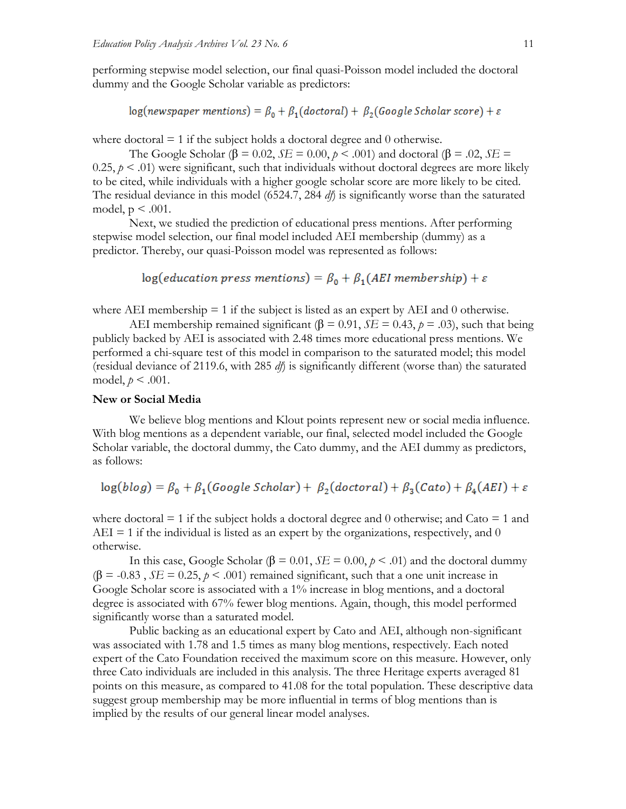performing stepwise model selection, our final quasi-Poisson model included the doctoral dummy and the Google Scholar variable as predictors:

 $log(newspaper$  mentions) =  $\beta_0 + \beta_1 (doctoral) + \beta_2 (Google School are score) + \varepsilon$ 

where doctoral  $= 1$  if the subject holds a doctoral degree and 0 otherwise.

The Google Scholar ( $\beta$  = 0.02, *SE* = 0.00,  $p$  < .001) and doctoral ( $\beta$  = .02, *SE* = 0.25,  $p < 0.01$ ) were significant, such that individuals without doctoral degrees are more likely to be cited, while individuals with a higher google scholar score are more likely to be cited. The residual deviance in this model (6524.7, 284 *df*) is significantly worse than the saturated model,  $p < .001$ .

Next, we studied the prediction of educational press mentions. After performing stepwise model selection, our final model included AEI membership (dummy) as a predictor. Thereby, our quasi-Poisson model was represented as follows:

 $log(education press mentions) = \beta_0 + \beta_1(AEI membership) + \varepsilon$ 

where AEI membership  $= 1$  if the subject is listed as an expert by AEI and 0 otherwise.

AEI membership remained significant ( $β = 0.91$ ,  $SE = 0.43$ ,  $p = .03$ ), such that being publicly backed by AEI is associated with 2.48 times more educational press mentions. We performed a chi-square test of this model in comparison to the saturated model; this model (residual deviance of 2119.6, with 285 *df*) is significantly different (worse than) the saturated model,  $p < .001$ .

#### **New or Social Media**

We believe blog mentions and Klout points represent new or social media influence. With blog mentions as a dependent variable, our final, selected model included the Google Scholar variable, the doctoral dummy, the Cato dummy, and the AEI dummy as predictors, as follows:

$$
log(blog) = \beta_0 + \beta_1(Google Scholar) + \beta_2(doctoral) + \beta_3(Cato) + \beta_4(AEI) + \varepsilon
$$

where doctoral  $= 1$  if the subject holds a doctoral degree and 0 otherwise; and Cato  $= 1$  and  $AEI = 1$  if the individual is listed as an expert by the organizations, respectively, and 0 otherwise.

In this case, Google Scholar (β = 0.01, *SE* = 0.00,  $p < .01$ ) and the doctoral dummy  $(\beta = -0.83, SE = 0.25, p < .001)$  remained significant, such that a one unit increase in Google Scholar score is associated with a 1% increase in blog mentions, and a doctoral degree is associated with 67% fewer blog mentions. Again, though, this model performed significantly worse than a saturated model.

Public backing as an educational expert by Cato and AEI, although non-significant was associated with 1.78 and 1.5 times as many blog mentions, respectively. Each noted expert of the Cato Foundation received the maximum score on this measure. However, only three Cato individuals are included in this analysis. The three Heritage experts averaged 81 points on this measure, as compared to 41.08 for the total population. These descriptive data suggest group membership may be more influential in terms of blog mentions than is implied by the results of our general linear model analyses.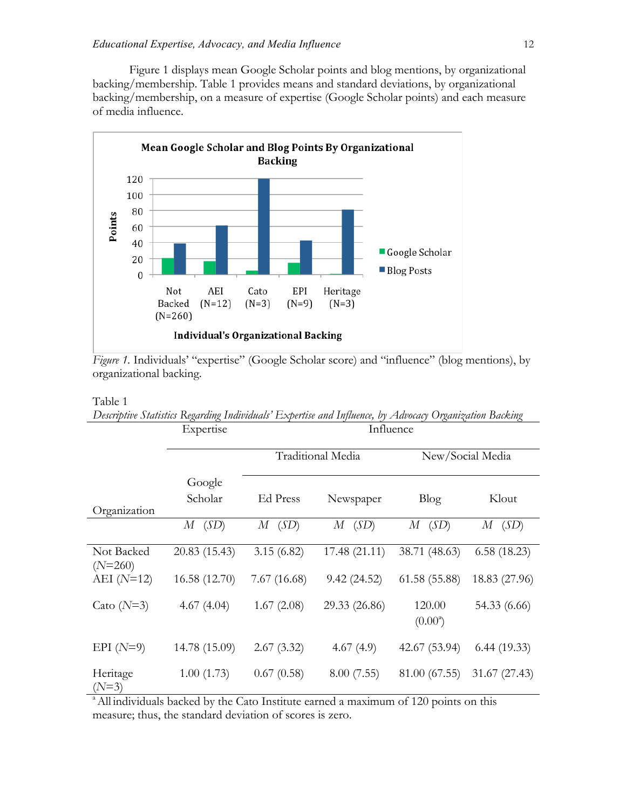Figure 1 displays mean Google Scholar points and blog mentions, by organizational backing/membership. Table 1 provides means and standard deviations, by organizational backing/membership, on a measure of expertise (Google Scholar points) and each measure of media influence.



*Figure 1.* Individuals' "expertise" (Google Scholar score) and "influence" (blog mentions), by organizational backing.

#### Table 1

|                         | $\sim$<br>Expertise | Influence   |                   |                            |                  |
|-------------------------|---------------------|-------------|-------------------|----------------------------|------------------|
|                         |                     |             | Traditional Media |                            | New/Social Media |
|                         | Google              |             |                   |                            |                  |
|                         | Scholar             | Ed Press    | Newspaper         | Blog                       | Klout            |
| Organization            |                     |             |                   |                            |                  |
|                         | $M$ (SD)            | $M$ (SD)    | (SD)<br>$M_{-}$   | $M$ (SD)                   | $M$ (SD)         |
| Not Backed<br>$(N=260)$ | 20.83 (15.43)       | 3.15(6.82)  | 17.48(21.11)      | 38.71 (48.63)              | 6.58(18.23)      |
| AEI $(N=12)$            | 16.58 (12.70)       | 7.67(16.68) | 9.42(24.52)       | 61.58(55.88)               | 18.83 (27.96)    |
| Cato $(N=3)$            | 4.67(4.04)          | 1.67(2.08)  | 29.33 (26.86)     | 120.00<br>$(0.00^{\circ})$ | 54.33 (6.66)     |
| EPI $(N=9)$             | 14.78 (15.09)       | 2.67(3.32)  | 4.67(4.9)         | 42.67 (53.94)              | 6.44(19.33)      |
| Heritage<br>$(N=3)$     | 1.00(1.73)          | 0.67(0.58)  | 8.00(7.55)        | 81.00 (67.55)              | 31.67 (27.43)    |

*Descriptive Statistics Regarding Individuals' Expertise and Influence, by Advocacy Organization Backing*

<sup>a</sup> All individuals backed by the Cato Institute earned a maximum of 120 points on this measure; thus, the standard deviation of scores is zero.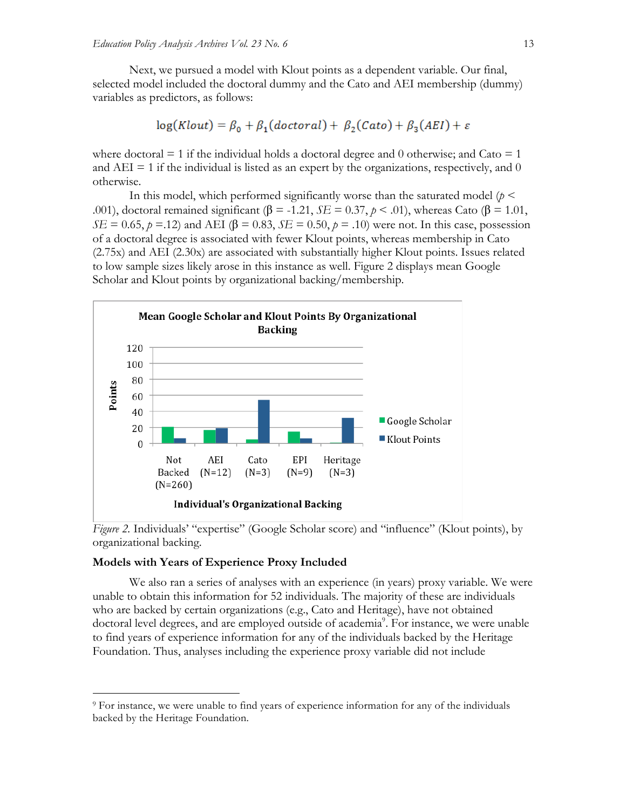Next, we pursued a model with Klout points as a dependent variable. Our final, selected model included the doctoral dummy and the Cato and AEI membership (dummy) variables as predictors, as follows:

$$
log(Klout) = \beta_0 + \beta_1(doctoral) + \beta_2(Cato) + \beta_3(AEI) + \varepsilon
$$

where doctoral  $= 1$  if the individual holds a doctoral degree and 0 otherwise; and Cato  $= 1$ and  $AEI = 1$  if the individual is listed as an expert by the organizations, respectively, and 0 otherwise.

In this model, which performed significantly worse than the saturated model ( $p <$ .001), doctoral remained significant ( $\beta$  = -1.21, *SE* = 0.37,  $p$  < .01), whereas Cato ( $\beta$  = 1.01,  $SE = 0.65$ ,  $p = 12$ ) and AEI ( $\beta = 0.83$ ,  $SE = 0.50$ ,  $p = .10$ ) were not. In this case, possession of a doctoral degree is associated with fewer Klout points, whereas membership in Cato (2.75x) and AEI (2.30x) are associated with substantially higher Klout points. Issues related to low sample sizes likely arose in this instance as well. Figure 2 displays mean Google Scholar and Klout points by organizational backing/membership.



*Figure 2.* Individuals' "expertise" (Google Scholar score) and "influence" (Klout points), by organizational backing.

#### **Models with Years of Experience Proxy Included**

We also ran a series of analyses with an experience (in years) proxy variable. We were unable to obtain this information for 52 individuals. The majority of these are individuals who are backed by certain organizations (e.g., Cato and Heritage), have not obtained doctoral level degrees, and are employed outside of academia<sup>9</sup>. For instance, we were unable to find years of experience information for any of the individuals backed by the Heritage Foundation. Thus, analyses including the experience proxy variable did not include

 <sup>9</sup> For instance, we were unable to find years of experience information for any of the individuals backed by the Heritage Foundation.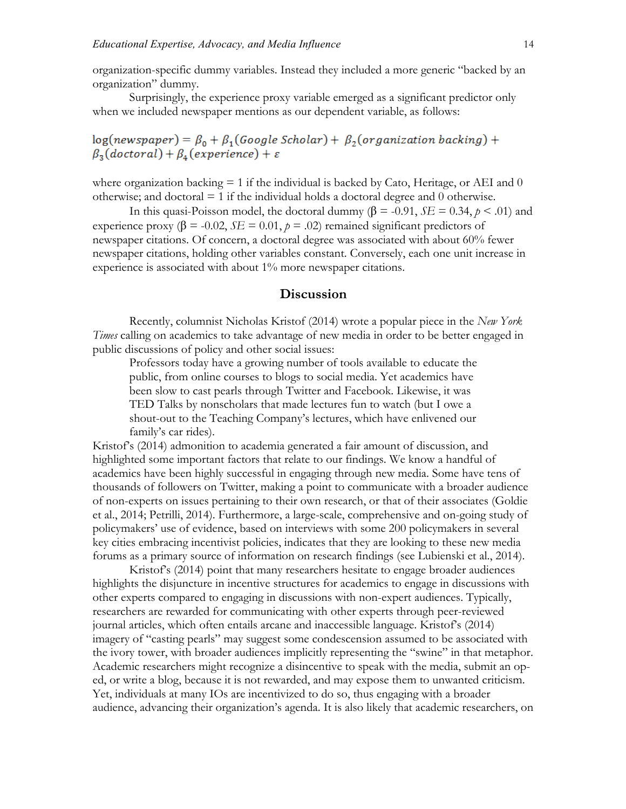organization-specific dummy variables. Instead they included a more generic "backed by an organization" dummy.

Surprisingly, the experience proxy variable emerged as a significant predictor only when we included newspaper mentions as our dependent variable, as follows:

## $log(newspaper) = \beta_0 + \beta_1(Google Scholar) + \beta_2(organization backing) +$  $\beta_3(doctoral) + \beta_4(experience) + \varepsilon$

where organization backing  $= 1$  if the individual is backed by Cato, Heritage, or AEI and 0 otherwise; and doctoral  $= 1$  if the individual holds a doctoral degree and 0 otherwise.

In this quasi-Poisson model, the doctoral dummy (β = -0.91, *SE* = 0.34,  $p < .01$ ) and experience proxy ( $\beta$  = -0.02, *SE* = 0.01,  $p$  = .02) remained significant predictors of newspaper citations. Of concern, a doctoral degree was associated with about 60% fewer newspaper citations, holding other variables constant. Conversely, each one unit increase in experience is associated with about 1% more newspaper citations.

#### **Discussion**

Recently, columnist Nicholas Kristof (2014) wrote a popular piece in the *New York Times* calling on academics to take advantage of new media in order to be better engaged in public discussions of policy and other social issues:

Professors today have a growing number of tools available to educate the public, from online courses to blogs to social media. Yet academics have been slow to cast pearls through Twitter and Facebook. Likewise, it was TED Talks by nonscholars that made lectures fun to watch (but I owe a shout-out to the Teaching Company's lectures, which have enlivened our family's car rides).

Kristof's (2014) admonition to academia generated a fair amount of discussion, and highlighted some important factors that relate to our findings. We know a handful of academics have been highly successful in engaging through new media. Some have tens of thousands of followers on Twitter, making a point to communicate with a broader audience of non-experts on issues pertaining to their own research, or that of their associates (Goldie et al., 2014; Petrilli, 2014). Furthermore, a large-scale, comprehensive and on-going study of policymakers' use of evidence, based on interviews with some 200 policymakers in several key cities embracing incentivist policies, indicates that they are looking to these new media forums as a primary source of information on research findings (see Lubienski et al., 2014).

Kristof's (2014) point that many researchers hesitate to engage broader audiences highlights the disjuncture in incentive structures for academics to engage in discussions with other experts compared to engaging in discussions with non-expert audiences. Typically, researchers are rewarded for communicating with other experts through peer-reviewed journal articles, which often entails arcane and inaccessible language. Kristof's (2014) imagery of "casting pearls" may suggest some condescension assumed to be associated with the ivory tower, with broader audiences implicitly representing the "swine" in that metaphor. Academic researchers might recognize a disincentive to speak with the media, submit an oped, or write a blog, because it is not rewarded, and may expose them to unwanted criticism. Yet, individuals at many IOs are incentivized to do so, thus engaging with a broader audience, advancing their organization's agenda. It is also likely that academic researchers, on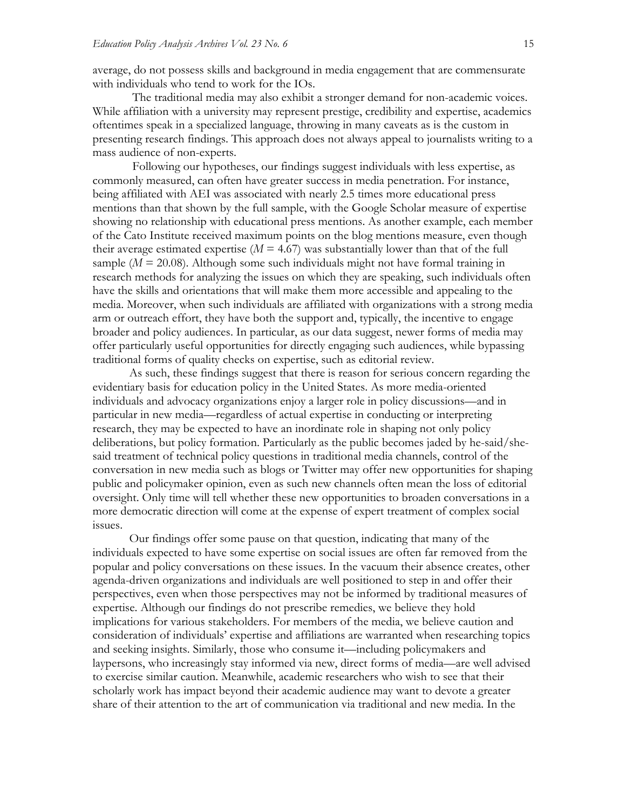average, do not possess skills and background in media engagement that are commensurate with individuals who tend to work for the IOs.

The traditional media may also exhibit a stronger demand for non-academic voices. While affiliation with a university may represent prestige, credibility and expertise, academics oftentimes speak in a specialized language, throwing in many caveats as is the custom in presenting research findings. This approach does not always appeal to journalists writing to a mass audience of non-experts.

Following our hypotheses, our findings suggest individuals with less expertise, as commonly measured, can often have greater success in media penetration. For instance, being affiliated with AEI was associated with nearly 2.5 times more educational press mentions than that shown by the full sample, with the Google Scholar measure of expertise showing no relationship with educational press mentions. As another example, each member of the Cato Institute received maximum points on the blog mentions measure, even though their average estimated expertise  $(M = 4.67)$  was substantially lower than that of the full sample  $(M = 20.08)$ . Although some such individuals might not have formal training in research methods for analyzing the issues on which they are speaking, such individuals often have the skills and orientations that will make them more accessible and appealing to the media. Moreover, when such individuals are affiliated with organizations with a strong media arm or outreach effort, they have both the support and, typically, the incentive to engage broader and policy audiences. In particular, as our data suggest, newer forms of media may offer particularly useful opportunities for directly engaging such audiences, while bypassing traditional forms of quality checks on expertise, such as editorial review.

As such, these findings suggest that there is reason for serious concern regarding the evidentiary basis for education policy in the United States. As more media-oriented individuals and advocacy organizations enjoy a larger role in policy discussions—and in particular in new media—regardless of actual expertise in conducting or interpreting research, they may be expected to have an inordinate role in shaping not only policy deliberations, but policy formation. Particularly as the public becomes jaded by he-said/shesaid treatment of technical policy questions in traditional media channels, control of the conversation in new media such as blogs or Twitter may offer new opportunities for shaping public and policymaker opinion, even as such new channels often mean the loss of editorial oversight. Only time will tell whether these new opportunities to broaden conversations in a more democratic direction will come at the expense of expert treatment of complex social issues.

Our findings offer some pause on that question, indicating that many of the individuals expected to have some expertise on social issues are often far removed from the popular and policy conversations on these issues. In the vacuum their absence creates, other agenda-driven organizations and individuals are well positioned to step in and offer their perspectives, even when those perspectives may not be informed by traditional measures of expertise. Although our findings do not prescribe remedies, we believe they hold implications for various stakeholders. For members of the media, we believe caution and consideration of individuals' expertise and affiliations are warranted when researching topics and seeking insights. Similarly, those who consume it—including policymakers and laypersons, who increasingly stay informed via new, direct forms of media—are well advised to exercise similar caution. Meanwhile, academic researchers who wish to see that their scholarly work has impact beyond their academic audience may want to devote a greater share of their attention to the art of communication via traditional and new media. In the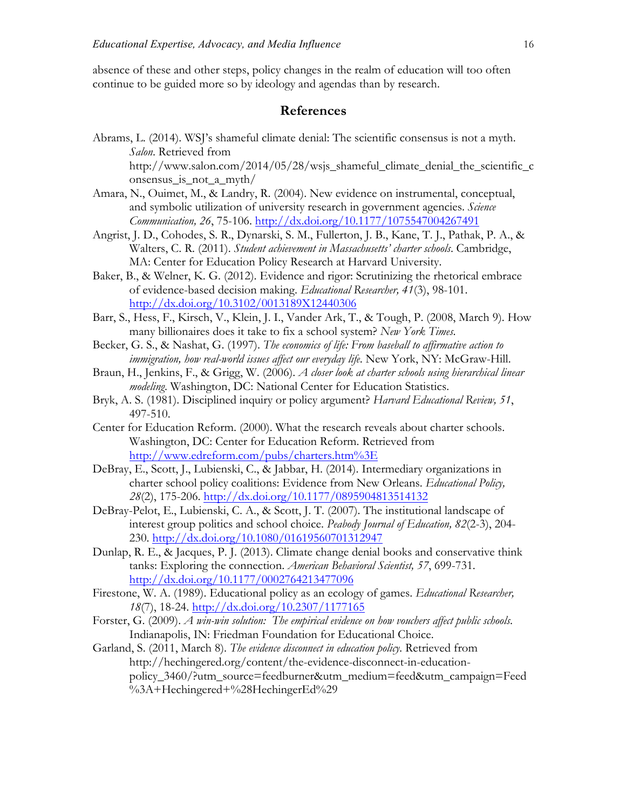absence of these and other steps, policy changes in the realm of education will too often continue to be guided more so by ideology and agendas than by research.

#### **References**

Abrams, L. (2014). WSJ's shameful climate denial: The scientific consensus is not a myth. *Salon*. Retrieved from

http://www.salon.com/2014/05/28/wsjs\_shameful\_climate\_denial\_the\_scientific\_c onsensus\_is\_not\_a\_myth/

- Amara, N., Ouimet, M., & Landry, R. (2004). New evidence on instrumental, conceptual, and symbolic utilization of university research in government agencies. *Science Communication, 26*, 75-106. http://dx.doi.org/10.1177/1075547004267491
- Angrist, J. D., Cohodes, S. R., Dynarski, S. M., Fullerton, J. B., Kane, T. J., Pathak, P. A., & Walters, C. R. (2011). *Student achievement in Massachusetts' charter schools*. Cambridge, MA: Center for Education Policy Research at Harvard University.
- Baker, B., & Welner, K. G. (2012). Evidence and rigor: Scrutinizing the rhetorical embrace of evidence-based decision making. *Educational Researcher, 41*(3), 98-101. http://dx.doi.org/10.3102/0013189X12440306
- Barr, S., Hess, F., Kirsch, V., Klein, J. I., Vander Ark, T., & Tough, P. (2008, March 9). How many billionaires does it take to fix a school system? *New York Times*.
- Becker, G. S., & Nashat, G. (1997). *The economics of life: From baseball to affirmative action to immigration, how real-world issues affect our everyday life*. New York, NY: McGraw-Hill.
- Braun, H., Jenkins, F., & Grigg, W. (2006). *A closer look at charter schools using hierarchical linear modeling*. Washington, DC: National Center for Education Statistics.
- Bryk, A. S. (1981). Disciplined inquiry or policy argument? *Harvard Educational Review, 51*, 497-510.
- Center for Education Reform. (2000). What the research reveals about charter schools. Washington, DC: Center for Education Reform. Retrieved from http://www.edreform.com/pubs/charters.htm%3E
- DeBray, E., Scott, J., Lubienski, C., & Jabbar, H. (2014). Intermediary organizations in charter school policy coalitions: Evidence from New Orleans. *Educational Policy, 28*(2), 175-206. http://dx.doi.org/10.1177/0895904813514132
- DeBray-Pelot, E., Lubienski, C. A., & Scott, J. T. (2007). The institutional landscape of interest group politics and school choice. *Peabody Journal of Education, 82*(2-3), 204- 230. http://dx.doi.org/10.1080/01619560701312947
- Dunlap, R. E., & Jacques, P. J. (2013). Climate change denial books and conservative think tanks: Exploring the connection. *American Behavioral Scientist, 57*, 699-731. http://dx.doi.org/10.1177/0002764213477096
- Firestone, W. A. (1989). Educational policy as an ecology of games. *Educational Researcher, 18*(7), 18-24. http://dx.doi.org/10.2307/1177165
- Forster, G. (2009). *A win-win solution: The empirical evidence on how vouchers affect public schools*. Indianapolis, IN: Friedman Foundation for Educational Choice.
- Garland, S. (2011, March 8). *The evidence disconnect in education policy.* Retrieved from http://hechingered.org/content/the-evidence-disconnect-in-educationpolicy\_3460/?utm\_source=feedburner&utm\_medium=feed&utm\_campaign=Feed %3A+Hechingered+%28HechingerEd%29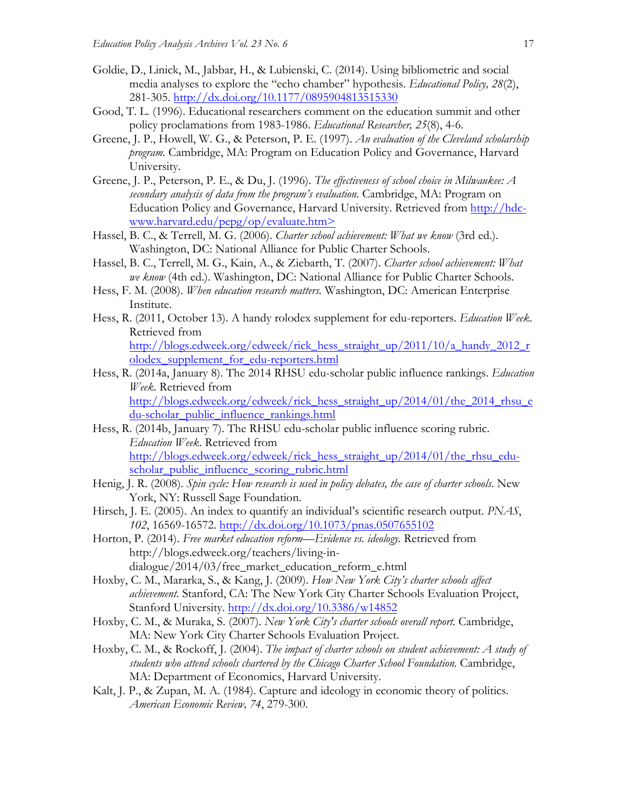- Goldie, D., Linick, M., Jabbar, H., & Lubienski, C. (2014). Using bibliometric and social media analyses to explore the "echo chamber" hypothesis. *Educational Policy, 28*(2), 281-305. http://dx.doi.org/10.1177/0895904813515330
- Good, T. L. (1996). Educational researchers comment on the education summit and other policy proclamations from 1983-1986. *Educational Researcher, 25*(8), 4-6.
- Greene, J. P., Howell, W. G., & Peterson, P. E. (1997). *An evaluation of the Cleveland scholarship program.* Cambridge, MA: Program on Education Policy and Governance, Harvard University.
- Greene, J. P., Peterson, P. E., & Du, J. (1996). *The effectiveness of school choice in Milwaukee: A secondary analysis of data from the program's evaluation.* Cambridge, MA: Program on Education Policy and Governance, Harvard University. Retrieved from http://hdcwww.harvard.edu/pepg/op/evaluate.htm>
- Hassel, B. C., & Terrell, M. G. (2006). *Charter school achievement: What we know* (3rd ed.). Washington, DC: National Alliance for Public Charter Schools.
- Hassel, B. C., Terrell, M. G., Kain, A., & Ziebarth, T. (2007). *Charter school achievement: What we know* (4th ed.). Washington, DC: National Alliance for Public Charter Schools.
- Hess, F. M. (2008). *When education research matters.* Washington, DC: American Enterprise Institute.
- Hess, R. (2011, October 13). A handy rolodex supplement for edu-reporters. *Education Week*. Retrieved from

http://blogs.edweek.org/edweek/rick\_hess\_straight\_up/2011/10/a\_handy\_2012\_r olodex\_supplement\_for\_edu-reporters.html

Hess, R. (2014a, January 8). The 2014 RHSU edu-scholar public influence rankings. *Education Week*. Retrieved from

http://blogs.edweek.org/edweek/rick\_hess\_straight\_up/2014/01/the\_2014\_rhsu\_e du-scholar\_public\_influence\_rankings.html

- Hess, R. (2014b, January 7). The RHSU edu-scholar public influence scoring rubric. *Education Week*. Retrieved from http://blogs.edweek.org/edweek/rick\_hess\_straight\_up/2014/01/the\_rhsu\_eduscholar\_public\_influence\_scoring\_rubric.html
- Henig, J. R. (2008). *Spin cycle: How research is used in policy debates, the case of charter schools*. New York, NY: Russell Sage Foundation.
- Hirsch, J. E. (2005). An index to quantify an individual's scientific research output. *PNAS*, *102*, 16569-16572. http://dx.doi.org/10.1073/pnas.0507655102
- Horton, P. (2014). *Free market education reform—Evidence vs. ideology.* Retrieved from http://blogs.edweek.org/teachers/living-indialogue/2014/03/free\_market\_education\_reform\_e.html
- Hoxby, C. M., Mararka, S., & Kang, J. (2009). *How New York City's charter schools affect achievement.* Stanford, CA: The New York City Charter Schools Evaluation Project, Stanford University. http://dx.doi.org/10.3386/w14852
- Hoxby, C. M., & Muraka, S. (2007). *New York City's charter schools overall report.* Cambridge, MA: New York City Charter Schools Evaluation Project.
- Hoxby, C. M., & Rockoff, J. (2004). *The impact of charter schools on student achievement: A study of*  students who attend schools chartered by the Chicago Charter School Foundation. Cambridge, MA: Department of Economics, Harvard University.
- Kalt, J. P., & Zupan, M. A. (1984). Capture and ideology in economic theory of politics. *American Economic Review, 74*, 279-300.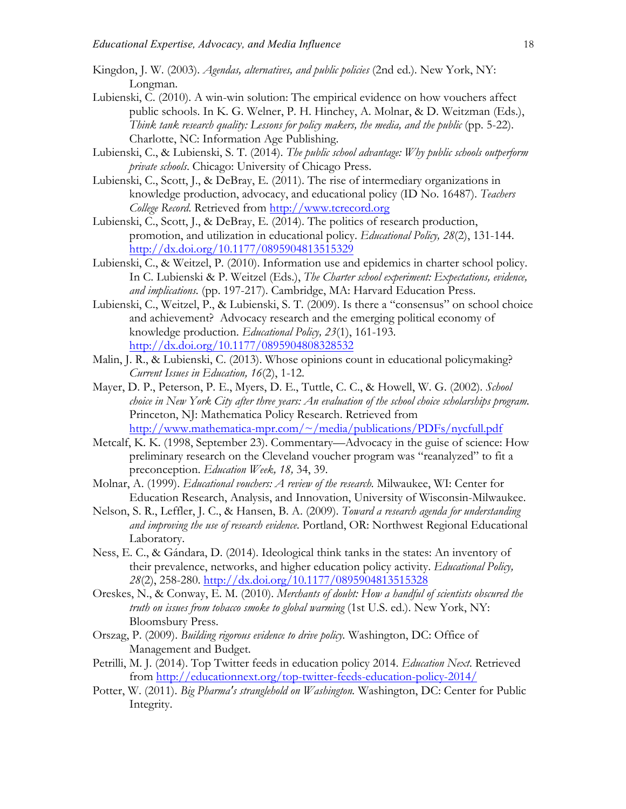- Kingdon, J. W. (2003). *Agendas, alternatives, and public policies* (2nd ed.). New York, NY: Longman.
- Lubienski, C. (2010). A win-win solution: The empirical evidence on how vouchers affect public schools. In K. G. Welner, P. H. Hinchey, A. Molnar, & D. Weitzman (Eds.), *Think tank research quality: Lessons for policy makers, the media, and the public* (pp. 5-22). Charlotte, NC: Information Age Publishing.
- Lubienski, C., & Lubienski, S. T. (2014). *The public school advantage: Why public schools outperform private schools*. Chicago: University of Chicago Press.
- Lubienski, C., Scott, J., & DeBray, E. (2011). The rise of intermediary organizations in knowledge production, advocacy, and educational policy (ID No. 16487). *Teachers College Record*. Retrieved from http://www.tcrecord.org
- Lubienski, C., Scott, J., & DeBray, E. (2014). The politics of research production, promotion, and utilization in educational policy. *Educational Policy, 28*(2), 131-144. http://dx.doi.org/10.1177/0895904813515329
- Lubienski, C., & Weitzel, P. (2010). Information use and epidemics in charter school policy. In C. Lubienski & P. Weitzel (Eds.), *The Charter school experiment: Expectations, evidence, and implications.* (pp. 197-217). Cambridge, MA: Harvard Education Press.
- Lubienski, C., Weitzel, P., & Lubienski, S. T. (2009). Is there a "consensus" on school choice and achievement? Advocacy research and the emerging political economy of knowledge production. *Educational Policy, 23*(1), 161-193. http://dx.doi.org/10.1177/0895904808328532
- Malin, J. R., & Lubienski, C. (2013). Whose opinions count in educational policymaking? *Current Issues in Education, 16*(2), 1-12.
- Mayer, D. P., Peterson, P. E., Myers, D. E., Tuttle, C. C., & Howell, W. G. (2002). *School choice in New York City after three years: An evaluation of the school choice scholarships program.*  Princeton, NJ: Mathematica Policy Research. Retrieved from http://www.mathematica-mpr.com/~/media/publications/PDFs/nycfull.pdf
- Metcalf, K. K. (1998, September 23). Commentary—Advocacy in the guise of science: How preliminary research on the Cleveland voucher program was "reanalyzed" to fit a preconception. *Education Week, 18,* 34, 39.
- Molnar, A. (1999). *Educational vouchers: A review of the research.* Milwaukee, WI: Center for Education Research, Analysis, and Innovation, University of Wisconsin-Milwaukee.
- Nelson, S. R., Leffler, J. C., & Hansen, B. A. (2009). *Toward a research agenda for understanding and improving the use of research evidence*. Portland, OR: Northwest Regional Educational Laboratory.
- Ness, E. C., & Gándara, D. (2014). Ideological think tanks in the states: An inventory of their prevalence, networks, and higher education policy activity. *Educational Policy, 28*(2), 258-280. http://dx.doi.org/10.1177/0895904813515328
- Oreskes, N., & Conway, E. M. (2010). *Merchants of doubt: How a handful of scientists obscured the truth on issues from tobacco smoke to global warming* (1st U.S. ed.). New York, NY: Bloomsbury Press.
- Orszag, P. (2009). *Building rigorous evidence to drive policy.* Washington, DC: Office of Management and Budget.
- Petrilli, M. J. (2014). Top Twitter feeds in education policy 2014. *Education Next*. Retrieved from http://educationnext.org/top-twitter-feeds-education-policy-2014/
- Potter, W. (2011). *Big Pharma's stranglehold on Washington.* Washington, DC: Center for Public Integrity.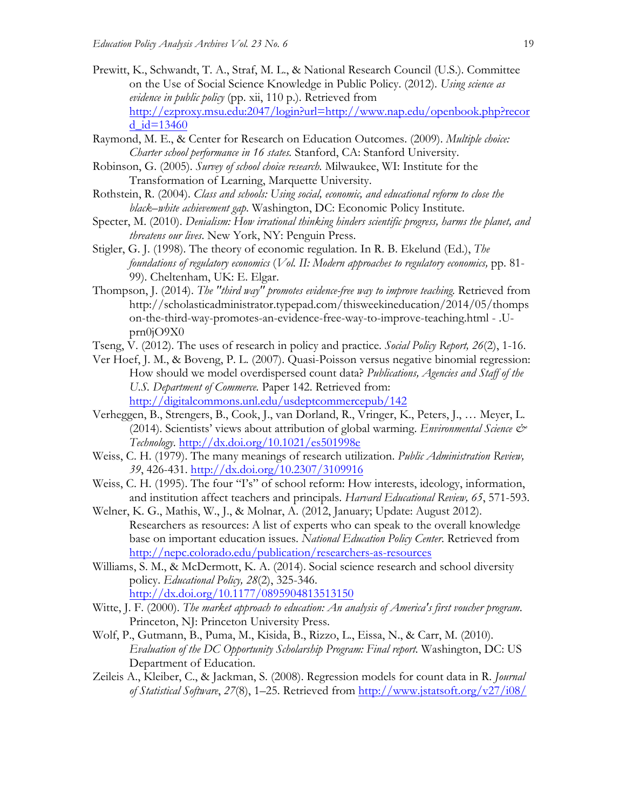- Prewitt, K., Schwandt, T. A., Straf, M. L., & National Research Council (U.S.). Committee on the Use of Social Science Knowledge in Public Policy. (2012). *Using science as evidence in public policy* (pp. xii, 110 p.). Retrieved from http://ezproxy.msu.edu:2047/login?url=http://www.nap.edu/openbook.php?recor d  $id=13460$
- Raymond, M. E., & Center for Research on Education Outcomes. (2009). *Multiple choice: Charter school performance in 16 states.* Stanford, CA: Stanford University.
- Robinson, G. (2005). *Survey of school choice research.* Milwaukee, WI: Institute for the Transformation of Learning, Marquette University.
- Rothstein, R. (2004). *Class and schools: Using social, economic, and educational reform to close the black–white achievement gap*. Washington, DC: Economic Policy Institute.
- Specter, M. (2010). *Denialism: How irrational thinking hinders scientific progress, harms the planet, and threatens our lives*. New York, NY: Penguin Press.
- Stigler, G. J. (1998). The theory of economic regulation. In R. B. Ekelund (Ed.), *The foundations of regulatory economics* (*Vol. II: Modern approaches to regulatory economics,* pp. 81- 99). Cheltenham, UK: E. Elgar.
- Thompson, J. (2014). *The "third way" promotes evidence-free way to improve teaching.* Retrieved from http://scholasticadministrator.typepad.com/thisweekineducation/2014/05/thomps on-the-third-way-promotes-an-evidence-free-way-to-improve-teaching.html - .Uprn0jO9X0
- Tseng, V. (2012). The uses of research in policy and practice. *Social Policy Report, 26*(2), 1-16.
- Ver Hoef, J. M., & Boveng, P. L. (2007). Quasi-Poisson versus negative binomial regression: How should we model overdispersed count data? *Publications, Agencies and Staff of the U.S. Department of Commerce.* Paper 142. Retrieved from: http://digitalcommons.unl.edu/usdeptcommercepub/142
- Verheggen, B., Strengers, B., Cook, J., van Dorland, R., Vringer, K., Peters, J., … Meyer, L. (2014). Scientists' views about attribution of global warming. *Environmental Science & Technology*. http://dx.doi.org/10.1021/es501998e
- Weiss, C. H. (1979). The many meanings of research utilization. *Public Administration Review, 39*, 426-431. http://dx.doi.org/10.2307/3109916
- Weiss, C. H. (1995). The four "I's" of school reform: How interests, ideology, information, and institution affect teachers and principals. *Harvard Educational Review, 65*, 571-593.
- Welner, K. G., Mathis, W., J., & Molnar, A. (2012, January; Update: August 2012). Researchers as resources: A list of experts who can speak to the overall knowledge base on important education issues. *National Education Policy Center*. Retrieved from http://nepc.colorado.edu/publication/researchers-as-resources
- Williams, S. M., & McDermott, K. A. (2014). Social science research and school diversity policy. *Educational Policy, 28*(2), 325-346. http://dx.doi.org/10.1177/0895904813513150
- Witte, J. F. (2000). *The market approach to education: An analysis of America's first voucher program*. Princeton, NJ: Princeton University Press.
- Wolf, P., Gutmann, B., Puma, M., Kisida, B., Rizzo, L., Eissa, N., & Carr, M. (2010). *Evaluation of the DC Opportunity Scholarship Program: Final report.* Washington, DC: US Department of Education.
- Zeileis A., Kleiber, C., & Jackman, S. (2008). Regression models for count data in R. *Journal of Statistical Software*, *27*(8), 1–25. Retrieved from http://www.jstatsoft.org/v27/i08/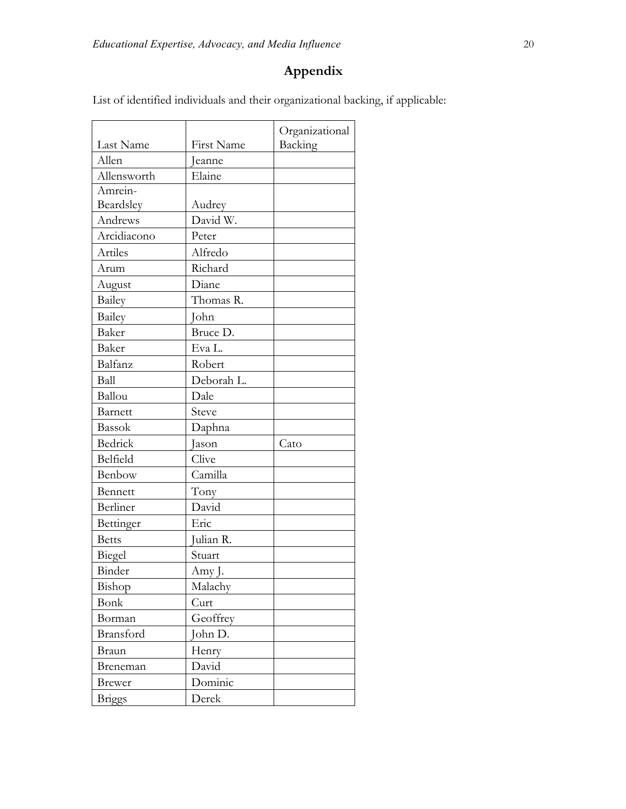# **Appendix**

List of identified individuals and their organizational backing, if applicable:

| Last Name             | First Name | Organizational<br>Backing |
|-----------------------|------------|---------------------------|
| Allen                 | Jeanne     |                           |
| Elaine<br>Allensworth |            |                           |
| Amrein-               |            |                           |
| Beardsley             | Audrey     |                           |
| Andrews               | David W.   |                           |
| Arcidiacono           | Peter      |                           |
| Artiles               | Alfredo    |                           |
| Arum                  | Richard    |                           |
| August                | Diane      |                           |
| <b>Bailey</b>         | Thomas R.  |                           |
| Bailey                | John       |                           |
| Baker                 | Bruce D.   |                           |
| Baker                 | Eva L.     |                           |
| Balfanz               | Robert     |                           |
| Ball                  | Deborah L. |                           |
| Ballou                | Dale       |                           |
| Barnett               | Steve      |                           |
| <b>Bassok</b>         | Daphna     |                           |
| Bedrick               | Jason      | Cato                      |
| Belfield              | Clive      |                           |
| Benbow                | Camilla    |                           |
| Bennett               | Tony       |                           |
| Berliner              | David      |                           |
| Bettinger             | Eric       |                           |
| <b>Betts</b>          | Julian R.  |                           |
| Biegel                | Stuart     |                           |
| Binder                | Amy J.     |                           |
| Bishop                | Malachy    |                           |
| Bonk                  | Curt       |                           |
| Borman                | Geoffrey   |                           |
| Bransford             | John D.    |                           |
| Braun                 | Henry      |                           |
| Breneman              | David      |                           |
| Brewer                | Dominic    |                           |
| <b>Briggs</b>         | Derek      |                           |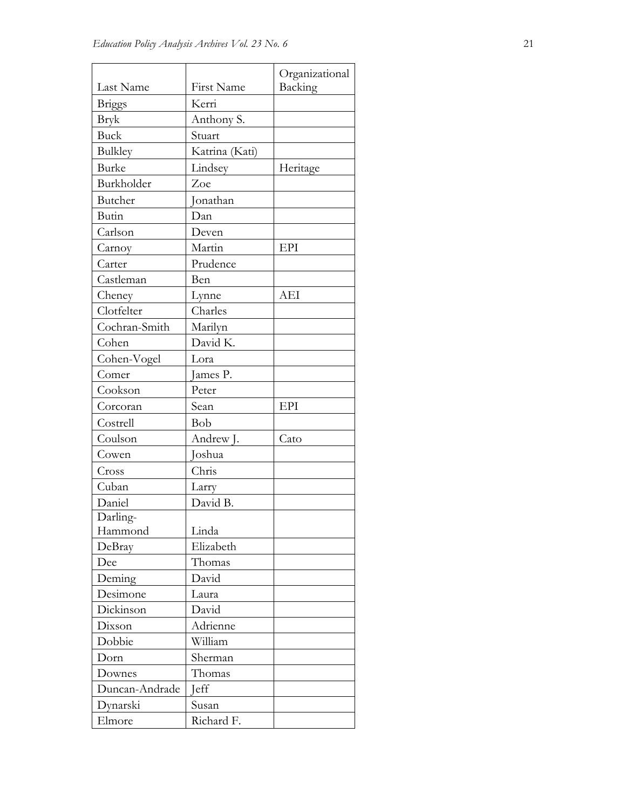|                |                | Organizational |
|----------------|----------------|----------------|
| Last Name      | First Name     | Backing        |
| <b>Briggs</b>  | Kerri          |                |
| <b>Bryk</b>    | Anthony S.     |                |
| <b>Buck</b>    | Stuart         |                |
| <b>Bulkley</b> | Katrina (Kati) |                |
| <b>Burke</b>   | Lindsey        | Heritage       |
| Burkholder     | Zoe            |                |
| Butcher        | Jonathan       |                |
| Butin          | Dan            |                |
| Carlson        | Deven          |                |
| Carnoy         | Martin         | EPI            |
| Carter         | Prudence       |                |
| Castleman      | Ben            |                |
| Cheney         | Lynne          | AEI            |
| Clotfelter     | Charles        |                |
| Cochran-Smith  | Marilyn        |                |
| Cohen          | David K.       |                |
| Cohen-Vogel    | Lora           |                |
| Comer          | James P.       |                |
| Cookson        | Peter          |                |
| Corcoran       | Sean           | EPI            |
| Costrell       | Bob            |                |
| Coulson        | Andrew J.      | Cato           |
| Cowen          | Joshua         |                |
| Cross          | Chris          |                |
| Cuban          | Larry          |                |
| Daniel         | David B.       |                |
| Darling-       |                |                |
| Hammond        | Linda          |                |
| DeBray         | Elizabeth      |                |
| Dee            | Thomas         |                |
| Deming         | David          |                |
| Desimone       | Laura          |                |
| Dickinson      | David          |                |
| Dixson         | Adrienne       |                |
| Dobbie         | William        |                |
| Dorn           | Sherman        |                |
| Downes         | Thomas         |                |
| Duncan-Andrade | <b>J</b> eff   |                |
| Dynarski       | Susan          |                |
| Elmore         | Richard F.     |                |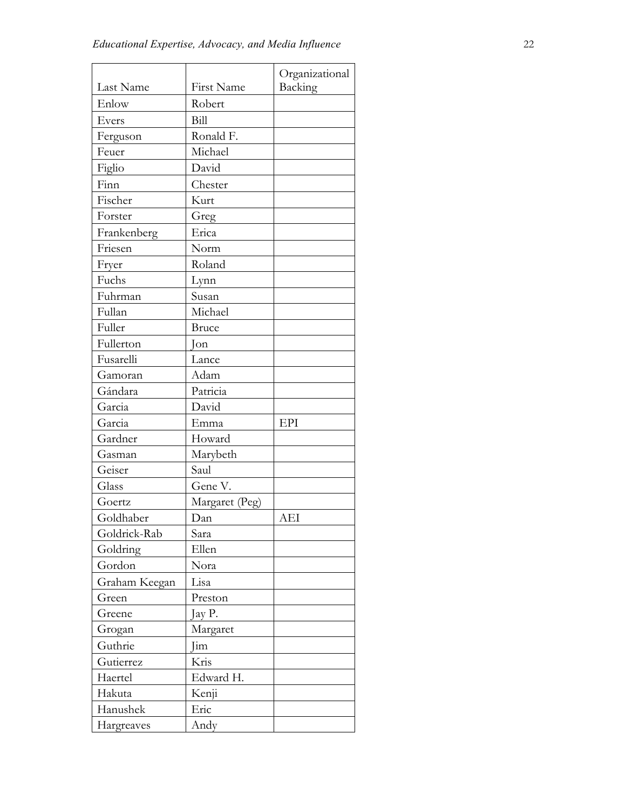| Last Name     | First Name     | Organizational<br>Backing |
|---------------|----------------|---------------------------|
| Enlow         | Robert         |                           |
| Evers         | Bill           |                           |
| Ferguson      | Ronald F.      |                           |
| Feuer         | Michael        |                           |
| Figlio        | David          |                           |
| Finn          | Chester        |                           |
| Fischer       | Kurt           |                           |
| Forster       | Greg           |                           |
| Frankenberg   | Erica          |                           |
| Friesen       | Norm           |                           |
| Fryer         | Roland         |                           |
| Fuchs         | Lynn           |                           |
| Fuhrman       | Susan          |                           |
| Fullan        | Michael        |                           |
| Fuller        | <b>Bruce</b>   |                           |
| Fullerton     | $\lceil$ on    |                           |
| Fusarelli     | Lance          |                           |
| Gamoran       | Adam           |                           |
| Gándara       | Patricia       |                           |
| Garcia        | David          |                           |
| Garcia        | Emma           | EPI                       |
| Gardner       | Howard         |                           |
| Gasman        | Marybeth       |                           |
| Geiser        | Saul           |                           |
| Glass         | Gene V.        |                           |
| Goertz        | Margaret (Peg) |                           |
| Goldhaber     | Dan            | AEI                       |
| Goldrick-Rab  | Sara           |                           |
| Goldring      | Ellen          |                           |
| Gordon        | Nora           |                           |
| Graham Keegan | Lisa           |                           |
| Green         | Preston        |                           |
| Greene        | Jay P.         |                           |
| Grogan        | Margaret       |                           |
| Guthrie       | Jim            |                           |
| Gutierrez     | Kris           |                           |
| Haertel       | Edward H.      |                           |
| Hakuta        | Kenji          |                           |
| Hanushek      | Eric           |                           |
| Hargreaves    | Andy           |                           |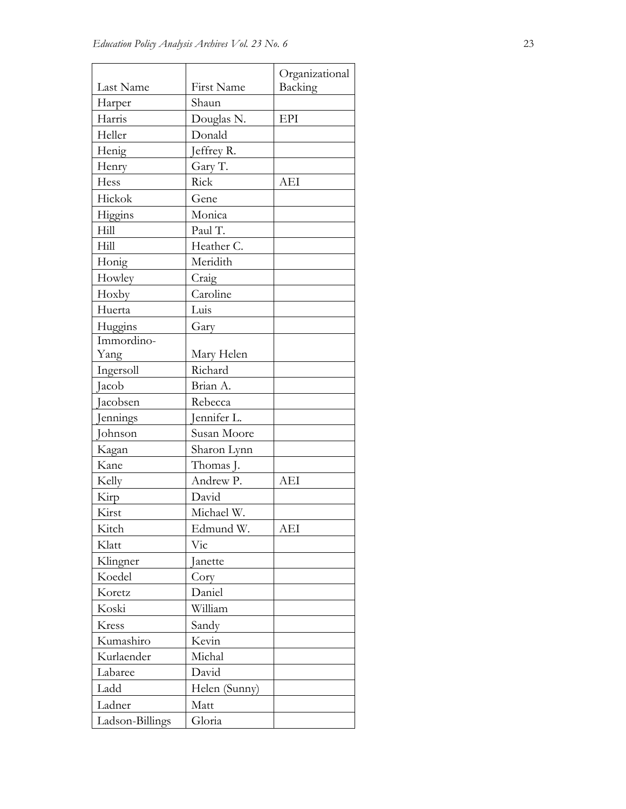|                 |               | Organizational |
|-----------------|---------------|----------------|
| Last Name       | First Name    | Backing        |
| Harper          | Shaun         |                |
| Harris          | Douglas N.    | EPI            |
| Heller          | Donald        |                |
| Henig           | Jeffrey R.    |                |
| Henry           | Gary T.       |                |
| Hess            | Rick          | AEI            |
| Hickok          | Gene          |                |
| Higgins         | Monica        |                |
| Hill            | Paul T.       |                |
| Hill            | Heather C.    |                |
| Honig           | Meridith      |                |
| Howley          | Craig         |                |
| Hoxby           | Caroline      |                |
| Huerta          | Luis          |                |
| Huggins         | Gary          |                |
| Immordino-      |               |                |
| Yang            | Mary Helen    |                |
| Ingersoll       | Richard       |                |
| Jacob           | Brian A.      |                |
| Jacobsen        | Rebecca       |                |
| Jennings        | Jennifer L.   |                |
| Johnson         | Susan Moore   |                |
| Kagan           | Sharon Lynn   |                |
| Kane            | Thomas J.     |                |
| Kelly           | Andrew P.     | <b>AEI</b>     |
| Kirp            | David         |                |
| Kirst           | Michael W.    |                |
| Kitch           | Edmund W.     | AEI            |
| Klatt           | Vic           |                |
| Klingner        | Janette       |                |
| Koedel          | Cory          |                |
| Koretz          | Daniel        |                |
| Koski           | William       |                |
| Kress           | Sandy         |                |
| Kumashiro       | Kevin         |                |
| Kurlaender      | Michal        |                |
| Labaree         | David         |                |
| Ladd            | Helen (Sunny) |                |
| Ladner          | Matt          |                |
| Ladson-Billings | Gloria        |                |
|                 |               |                |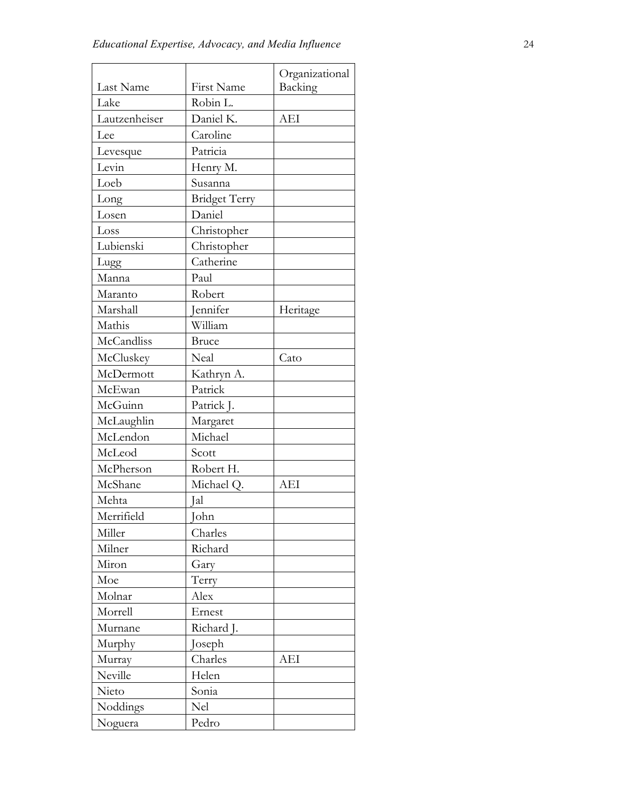|                            |                      | Organizational |
|----------------------------|----------------------|----------------|
| Last Name                  | First Name           | Backing        |
| Lake                       | Robin L.             |                |
| Lautzenheiser<br>Daniel K. |                      | AEI            |
| Lee                        | Caroline             |                |
| Levesque                   | Patricia             |                |
| Levin                      | Henry M.             |                |
| Loeb                       | Susanna              |                |
| Long                       | <b>Bridget Terry</b> |                |
| Losen                      | Daniel               |                |
| Loss                       | Christopher          |                |
| Lubienski                  | Christopher          |                |
| Lugg                       | Catherine            |                |
| Manna                      | Paul                 |                |
| Maranto                    | Robert               |                |
| Marshall                   | Jennifer             | Heritage       |
| Mathis                     | William              |                |
| McCandliss                 | <b>Bruce</b>         |                |
| McCluskey                  | Neal                 | Cato           |
| McDermott                  | Kathryn A.           |                |
| McEwan                     | Patrick              |                |
| McGuinn                    | Patrick J.           |                |
| McLaughlin                 | Margaret             |                |
| McLendon                   | Michael              |                |
| McLeod                     | Scott                |                |
| McPherson                  | Robert H.            |                |
| McShane                    | Michael Q.           | <b>AEI</b>     |
| Mehta                      | Ial                  |                |
| Merrifield                 | John                 |                |
| Miller                     | Charles              |                |
| Milner                     | Richard              |                |
| Miron                      | Gary                 |                |
| Moe                        | Terry                |                |
| Molnar                     | Alex                 |                |
| Morrell                    | Ernest               |                |
| Murnane                    | Richard J.           |                |
| Murphy                     | Joseph               |                |
| Murray                     | Charles              | AEI            |
| Neville                    | Helen                |                |
| Nieto                      | Sonia                |                |
| Noddings                   | Nel                  |                |
| Noguera                    | Pedro                |                |
|                            |                      |                |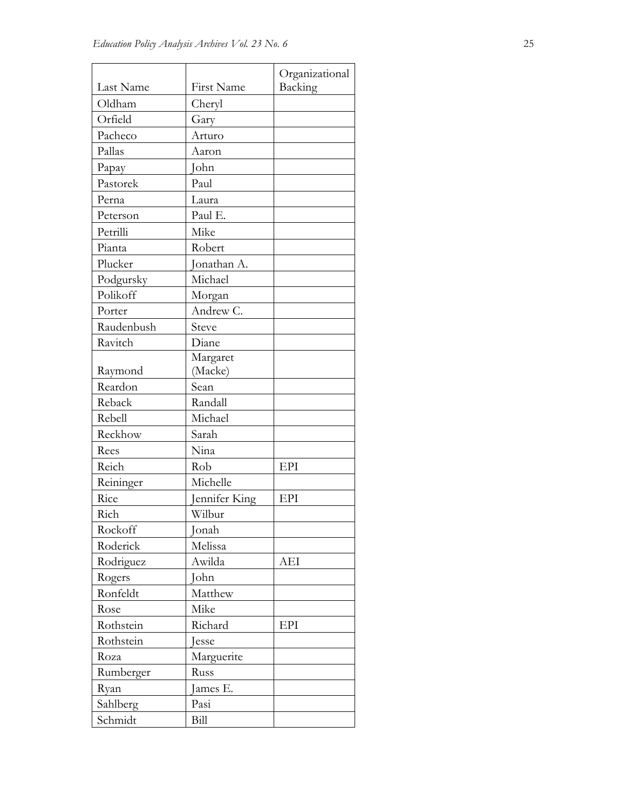| Last Name  | First Name    | Organizational<br>Backing |
|------------|---------------|---------------------------|
| Oldham     | Cheryl        |                           |
| Orfield    | Gary          |                           |
| Pacheco    |               |                           |
| Pallas     | Arturo        |                           |
|            | Aaron         |                           |
| Papay      | John          |                           |
| Pastorek   | Paul          |                           |
| Perna      | Laura         |                           |
| Peterson   | Paul E.       |                           |
| Petrilli   | Mike          |                           |
| Pianta     | Robert        |                           |
| Plucker    | Jonathan A.   |                           |
| Podgursky  | Michael       |                           |
| Polikoff   | Morgan        |                           |
| Porter     | Andrew C.     |                           |
| Raudenbush | Steve         |                           |
| Ravitch    | Diane         |                           |
|            | Margaret      |                           |
| Raymond    | (Macke)       |                           |
| Reardon    | Sean          |                           |
| Reback     | Randall       |                           |
| Rebell     | Michael       |                           |
| Reckhow    | Sarah         |                           |
| Rees       | Nina          |                           |
| Reich      | Rob           | EPI                       |
| Reininger  | Michelle      |                           |
| Rice       | Jennifer King | EPI                       |
| Rich       | Wilbur        |                           |
| Rockoff    | Jonah         |                           |
| Roderick   | Melissa       |                           |
| Rodriguez  | Awilda        | AEI                       |
| Rogers     | John          |                           |
| Ronfeldt   | Matthew       |                           |
| Rose       | Mike          |                           |
| Rothstein  | Richard       | EPI                       |
| Rothstein  | Jesse         |                           |
| Roza       | Marguerite    |                           |
| Rumberger  | Russ          |                           |
| Ryan       | James E.      |                           |
| Sahlberg   | Pasi          |                           |
| Schmidt    | Bill          |                           |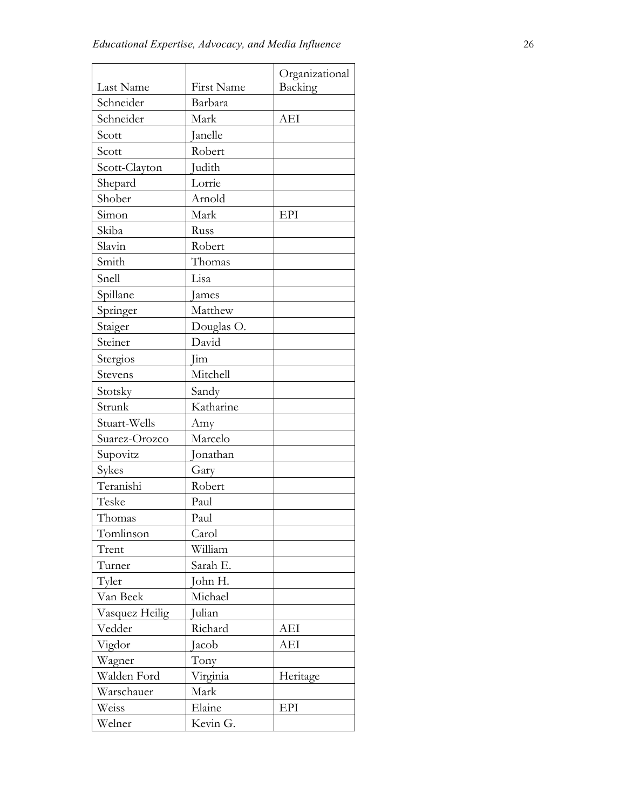|                |              | Organizational |
|----------------|--------------|----------------|
| Last Name      | First Name   | Backing        |
| Schneider      | Barbara      |                |
| Schneider      | Mark         | AEI            |
| Scott          | Janelle      |                |
| Scott          | Robert       |                |
| Scott-Clayton  | Judith       |                |
| Shepard        | Lorrie       |                |
| Shober         | Arnold       |                |
| Simon          | Mark         | EPI            |
| Skiba          | Russ         |                |
| Slavin         | Robert       |                |
| Smith          | Thomas       |                |
| Snell          | Lisa         |                |
| Spillane       | <b>James</b> |                |
| Springer       | Matthew      |                |
| Staiger        | Douglas O.   |                |
| Steiner        | David        |                |
| Stergios       | Jim          |                |
| Stevens        | Mitchell     |                |
| Stotsky        | Sandy        |                |
| Strunk         | Katharine    |                |
| Stuart-Wells   | Amy          |                |
| Suarez-Orozco  | Marcelo      |                |
| Supovitz       | Jonathan     |                |
| Sykes          | Gary         |                |
| Teranishi      | Robert       |                |
| Teske          | Paul         |                |
| Thomas         | Paul         |                |
| Tomlinson      | Carol        |                |
| Trent          | William      |                |
| Turner         | Sarah E.     |                |
| Tyler          | John H.      |                |
| Van Beek       | Michael      |                |
| Vasquez Heilig | Julian       |                |
| Vedder         | Richard      | AEI            |
| Vigdor         | Jacob        | AEI            |
| Wagner         | Tony         |                |
| Walden Ford    | Virginia     | Heritage       |
| Warschauer     | Mark         |                |
| Weiss          | Elaine       | EPI            |
| Welner         | Kevin G.     |                |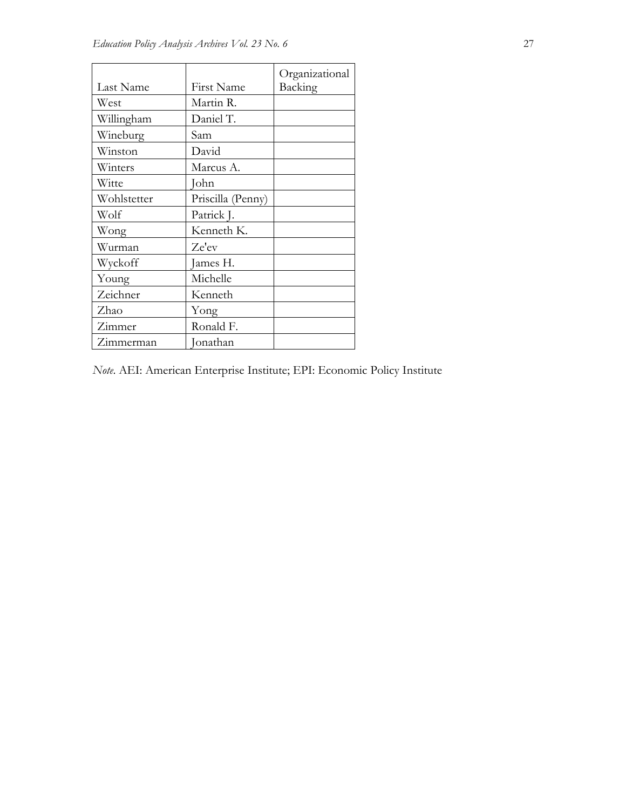|             |                   | Organizational |
|-------------|-------------------|----------------|
| Last Name   | First Name        | Backing        |
| West        | Martin R.         |                |
| Willingham  | Daniel T.         |                |
| Wineburg    | Sam               |                |
| Winston     | David             |                |
| Winters     | Marcus A.         |                |
| Witte       | John              |                |
| Wohlstetter | Priscilla (Penny) |                |
| Wolf        | Patrick J.        |                |
| Wong        | Kenneth K.        |                |
| Wurman      | Ze'ev             |                |
| Wyckoff     | James H.          |                |
| Young       | Michelle          |                |
| Zeichner    | Kenneth           |                |
| Zhao        | Yong              |                |
| Zimmer      | Ronald F.         |                |
| Zimmerman   | Jonathan          |                |

*Note*. AEI: American Enterprise Institute; EPI: Economic Policy Institute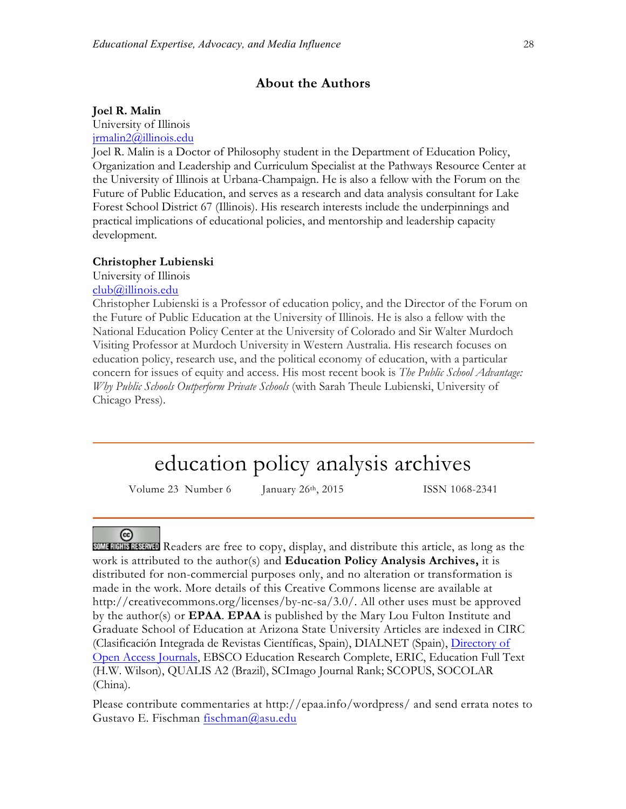### **About the Authors**

#### **Joel R. Malin**

University of Illinois

jrmalin2@illinois.edu

Joel R. Malin is a Doctor of Philosophy student in the Department of Education Policy, Organization and Leadership and Curriculum Specialist at the Pathways Resource Center at the University of Illinois at Urbana-Champaign. He is also a fellow with the Forum on the Future of Public Education, and serves as a research and data analysis consultant for Lake Forest School District 67 (Illinois). His research interests include the underpinnings and practical implications of educational policies, and mentorship and leadership capacity development.

#### **Christopher Lubienski**

University of Illinois club@illinois.edu

Christopher Lubienski is a Professor of education policy, and the Director of the Forum on the Future of Public Education at the University of Illinois. He is also a fellow with the National Education Policy Center at the University of Colorado and Sir Walter Murdoch Visiting Professor at Murdoch University in Western Australia. His research focuses on education policy, research use, and the political economy of education, with a particular concern for issues of equity and access. His most recent book is *The Public School Advantage: Why Public Schools Outperform Private Schools* (with Sarah Theule Lubienski, University of Chicago Press).

# education policy analysis archives

Volume 23 Number 6 January 26<sup>th</sup>, 2015 ISSN 1068-2341

## <sub>(cc)</sub>

Readers are free to copy, display, and distribute this article, as long as the work is attributed to the author(s) and **Education Policy Analysis Archives,** it is distributed for non-commercial purposes only, and no alteration or transformation is made in the work. More details of this Creative Commons license are available at http://creativecommons.org/licenses/by-nc-sa/3.0/. All other uses must be approved by the author(s) or **EPAA**. **EPAA** is published by the Mary Lou Fulton Institute and Graduate School of Education at Arizona State University Articles are indexed in CIRC (Clasificación Integrada de Revistas Científicas, Spain), DIALNET (Spain), Directory of Open Access Journals, EBSCO Education Research Complete, ERIC, Education Full Text (H.W. Wilson), QUALIS A2 (Brazil), SCImago Journal Rank; SCOPUS, SOCOLAR (China).

Please contribute commentaries at http://epaa.info/wordpress/ and send errata notes to Gustavo E. Fischman fischman@asu.edu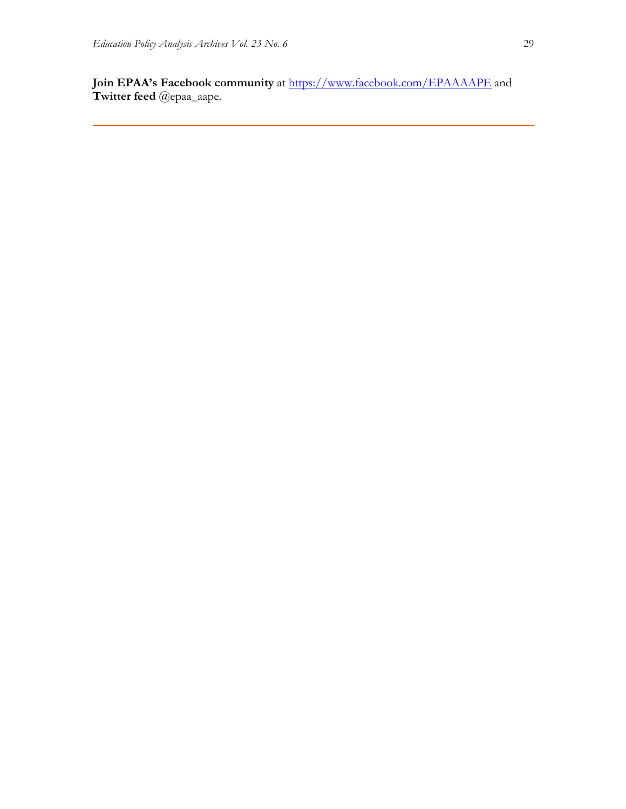Join EPAA's Facebook community at https://www.facebook.com/EPAAAAPE and **Twitter feed** @epaa\_aape.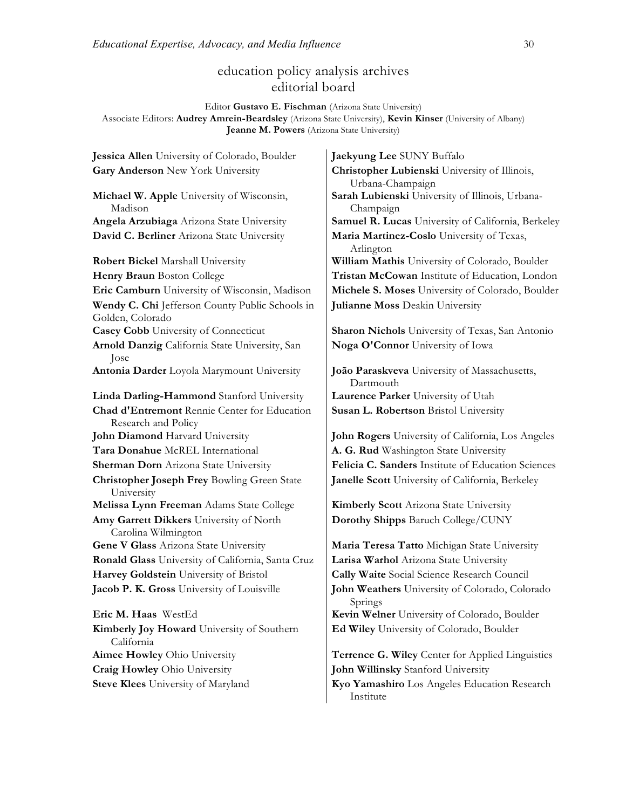# education policy analysis archives editorial board

Editor **Gustavo E. Fischman** (Arizona State University) Associate Editors: **Audrey Amrein-Beardsley** (Arizona State University), **Kevin Kinser** (University of Albany) **Jeanne M. Powers** (Arizona State University)

**Jessica Allen** University of Colorado, Boulder **Jaekyung Lee** SUNY Buffalo **Gary Anderson** New York University **Christopher Lubienski** University of Illinois, Urbana-Champaign **Michael W. Apple** University of Wisconsin, Madison **Sarah Lubienski** University of Illinois, Urbana-Champaign **Angela Arzubiaga** Arizona State University **Samuel R. Lucas** University of California, Berkeley **David C. Berliner** Arizona State University **Maria Martinez-Coslo** University of Texas, Arlington **Robert Bickel Marshall University William Mathis University of Colorado, Boulder Henry Braun** Boston College **Tristan McCowan** Institute of Education, London **Eric Camburn** University of Wisconsin, Madison **Michele S. Moses** University of Colorado, Boulder **Wendy C. Chi** Jefferson County Public Schools in Golden, Colorado **Julianne Moss** Deakin University **Casey Cobb** University of Connecticut **Sharon Nichols** University of Texas, San Antonio **Arnold Danzig** California State University, San Jose **Noga O'Connor** University of Iowa **Antonia Darder** Loyola Marymount University **João Paraskveva** University of Massachusetts, Dartmouth **Linda Darling-Hammond** Stanford University **Laurence Parker** University of Utah **Chad d'Entremont** Rennie Center for Education Research and Policy **Susan L. Robertson** Bristol University **John Diamond** Harvard University **John Rogers** University of California, Los Angeles **Tara Donahue** McREL International **A. G. Rud** Washington State University **Sherman Dorn** Arizona State University **Felicia C. Sanders** Institute of Education Sciences **Christopher Joseph Frey** Bowling Green State University **Janelle Scott** University of California, Berkeley **Melissa Lynn Freeman** Adams State College **Kimberly Scott** Arizona State University **Amy Garrett Dikkers** University of North Carolina Wilmington **Dorothy Shipps** Baruch College/CUNY **Gene V Glass** Arizona State University **Maria Teresa Tatto** Michigan State University **Ronald Glass** University of California, Santa Cruz **Larisa Warhol** Arizona State University **Harvey Goldstein** University of Bristol **Cally Waite** Social Science Research Council **Jacob P. K. Gross** University of Louisville **John Weathers** University of Colorado, Colorado Springs **Eric M. Haas** WestEd **Kevin Welner** University of Colorado, Boulder **Kimberly Joy Howard** University of Southern California **Ed Wiley** University of Colorado, Boulder **Aimee Howley** Ohio University **Terrence G. Wiley** Center for Applied Linguistics **Craig Howley** Ohio University **John Willinsky** Stanford University **Steve Klees** University of Maryland **Kyo Yamashiro** Los Angeles Education Research Institute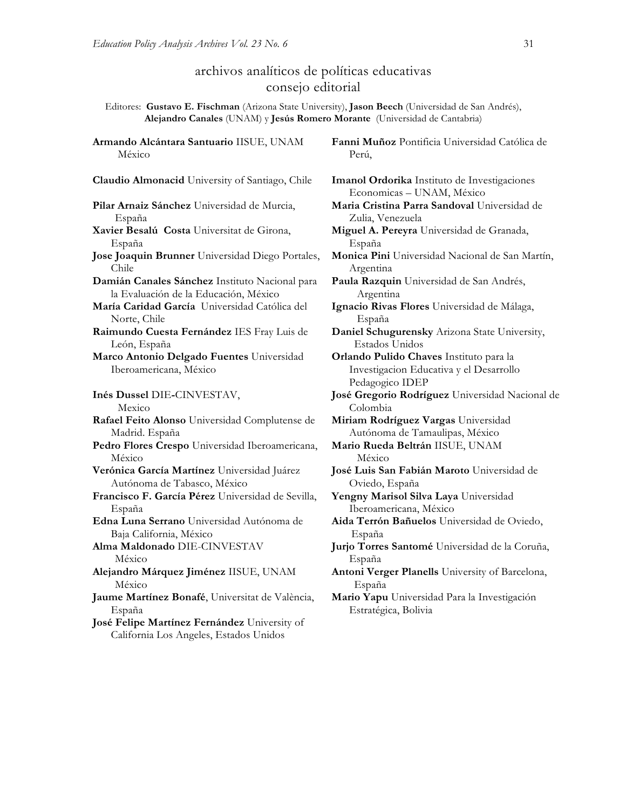# archivos analíticos de políticas educativas consejo editorial

Editores: **Gustavo E. Fischman** (Arizona State University), **Jason Beech** (Universidad de San Andrés), **Alejandro Canales** (UNAM) y **Jesús Romero Morante** (Universidad de Cantabria)

**Armando Alcántara Santuario** IISUE, UNAM México

**Claudio Almonacid** University of Santiago, Chile **Imanol Ordorika** Instituto de Investigaciones

**Pilar Arnaiz Sánchez** Universidad de Murcia, España **Xavier Besalú Costa** Universitat de Girona,

España **Jose Joaquin Brunner** Universidad Diego Portales, Chile

- **Damián Canales Sánchez** Instituto Nacional para la Evaluación de la Educación, México
- **María Caridad García** Universidad Católica del Norte, Chile
- **Raimundo Cuesta Fernández** IES Fray Luis de León, España

**Marco Antonio Delgado Fuentes** Universidad Iberoamericana, México

**Inés Dussel** DIE**-**CINVESTAV, Mexico

**Rafael Feito Alonso** Universidad Complutense de Madrid. España

**Pedro Flores Crespo** Universidad Iberoamericana, México

- **Verónica García Martínez** Universidad Juárez Autónoma de Tabasco, México
- **Francisco F. García Pérez** Universidad de Sevilla, España

**Edna Luna Serrano** Universidad Autónoma de Baja California, México

**Alma Maldonado** DIE-CINVESTAV México

**Alejandro Márquez Jiménez** IISUE, UNAM México

**Jaume Martínez Bonafé**, Universitat de València, España

**José Felipe Martínez Fernández** University of California Los Angeles, Estados Unidos

**Fanni Muñoz** Pontificia Universidad Católica de Perú,

Economicas – UNAM, México

**Maria Cristina Parra Sandoval** Universidad de Zulia, Venezuela

**Miguel A. Pereyra** Universidad de Granada, España

**Monica Pini** Universidad Nacional de San Martín, Argentina

**Paula Razquin** Universidad de San Andrés, Argentina

**Ignacio Rivas Flores** Universidad de Málaga, España

**Daniel Schugurensky** Arizona State University, Estados Unidos

**Orlando Pulido Chaves** Instituto para la Investigacion Educativa y el Desarrollo Pedagogico IDEP

**José Gregorio Rodríguez** Universidad Nacional de Colombia

**Miriam Rodríguez Vargas** Universidad Autónoma de Tamaulipas, México

**Mario Rueda Beltrán** IISUE, UNAM México

**José Luis San Fabián Maroto** Universidad de Oviedo, España

**Yengny Marisol Silva Laya** Universidad Iberoamericana, México

**Aida Terrón Bañuelos** Universidad de Oviedo, España

**Jurjo Torres Santomé** Universidad de la Coruña, España

**Antoni Verger Planells** University of Barcelona, España

**Mario Yapu** Universidad Para la Investigación Estratégica, Bolivia